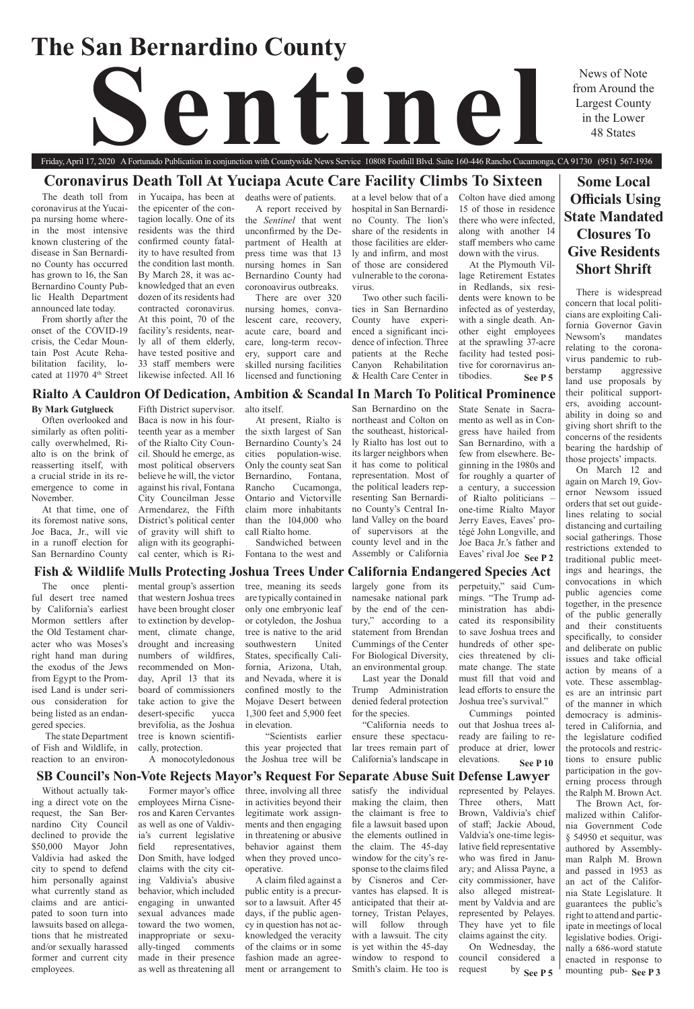# **The San Bernardino County**



from Around the Largest County in the Lower 48 States

Friday, April 17, 2020 A Fortunado Publication in conjunction with Countywide News Service 10808 Foothill Blvd. Suite 160-446 Rancho Cucamonga, CA 91730 (951) 567-1936

**Some Local Officials Using State Mandated Closures To Give Residents Short Shrift**

# **Fish & Wildlife Mulls Protecting Joshua Trees Under California Endangered Species Act**

# **Rialto A Cauldron Of Dedication, Ambition & Scandal In March To Political Prominence**

**SB Council's Non-Vote Rejects Mayor's Request For Separate Abuse Suit Defense Lawyer**

# **Coronavirus Death Toll At Yuciapa Acute Care Facility Climbs To Sixteen**

# **By Mark Gutglueck**

Often overlooked and similarly as often politically overwhelmed, Rialto is on the brink of reasserting itself, with a crucial stride in its reemergence to come in November.

At that time, one of its foremost native sons, Joe Baca, Jr., will vie in a runoff election for San Bernardino County

Eaves' rival Joe **See P 2** State Senate in Sacramento as well as in Congress have hailed from San Bernardino, with a few from elsewhere. Beginning in the 1980s and for roughly a quarter of a century, a succession of Rialto politicians – one-time Rialto Mayor Jerry Eaves, Eaves' protégé John Longville, and Joe Baca Jr.'s father and

Fifth District supervisor. Baca is now in his fourteenth year as a member of the Rialto City Council. Should he emerge, as most political observers believe he will, the victor against his rival, Fontana City Councilman Jesse Armendarez, the Fifth District's political center of gravity will shift to align with its geographical center, which is Ri-

From shortly after the onset of the COVID-19 crisis, the Cedar Mountain Post Acute Rehabilitation facility, located at 11970 4<sup>th</sup> Street

alto itself.

At present, Rialto is the sixth largest of San Bernardino County's 24 cities population-wise. Only the county seat San Bernardino, Fontana, Rancho Cucamonga, Ontario and Victorville claim more inhabitants than the 104,000 who call Rialto home.

Sandwiched between Fontana to the west and San Bernardino on the northeast and Colton on the southeast, historically Rialto has lost out to its larger neighbors when it has come to political representation. Most of the political leaders representing San Bernardino County's Central Inland Valley on the board of supervisors at the county level and in the Assembly or California

**See P 5** At the Plymouth Village Retirement Estates in Redlands, six residents were known to be infected as of yesterday, with a single death. Another eight employees at the sprawling 37-acre facility had tested positive for corornavirus antibodies.

The death toll from coronavirus at the Yucaipa nursing home wherein the most intensive known clustering of the disease in San Bernardino County has occurred has grown to 16, the San Bernardino County Public Health Department announced late today.

in Yucaipa, has been at the epicenter of the contagion locally. One of its residents was the third confirmed county fatality to have resulted from the condition last month. By March 28, it was acknowledged that an even dozen of its residents had contracted coronavirus. At this point, 70 of the facility's residents, nearly all of them elderly, have tested positive and 33 staff members were likewise infected. All 16

deaths were of patients.

A report received by the *Sentinel* that went unconfirmed by the Department of Health at press time was that 13 nursing homes in San Bernardino County had coronoavirus outbreaks.

There are over 320 nursing homes, convalescent care, recovery, acute care, board and care, long-term recovery, support care and skilled nursing facilities licensed and functioning

at a level below that of a hospital in San Bernardino County. The lion's share of the residents in those facilities are elderly and infirm, and most of those are considered vulnerable to the coronavirus.

Two other such facilities in San Bernardino County have experienced a significant incidence of infection. Three patients at the Reche Canyon Rehabilitation & Health Care Center in

> mounting pub- See P 3 On March 12 and again on March 19, Governor Newsom issued orders that set out guidelines relating to social distancing and curtailing social gatherings. Those restrictions extended to traditional public meetings and hearings, the convocations in which public agencies come together, in the presence of the public generally and their constituents specifically, to consider and deliberate on public issues and take official action by means of a vote. These assemblages are an intrinsic part of the manner in which democracy is administered in California, and the legislature codified the protocols and restrictions to ensure public participation in the governing process through the Ralph M. Brown Act. The Brown Act, formalized within California Government Code § 54950 et sequitur, was authored by Assemblyman Ralph M. Brown and passed in 1953 as an act of the California State Legislature. It guarantees the public's right to attend and participate in meetings of local legislative bodies. Originally a 686-word statute enacted in response to

Colton have died among 15 of those in residence there who were infected, along with another 14 staff members who came down with the virus.

Without actually taking a direct vote on the request, the San Bernardino City Council declined to provide the \$50,000 Mayor John Valdivia had asked the city to spend to defend him personally against what currently stand as claims and are anticipated to soon turn into lawsuits based on allegations that he mistreated and/or sexually harassed former and current city employees.

Former mayor's office employees Mirna Cisneros and Karen Cervantes as well as one of Valdivia's current legislative field representatives, Don Smith, have lodged claims with the city citing Valdivia's abusive behavior, which included engaging in unwanted sexual advances made toward the two women, inappropriate or sexually-tinged comments made in their presence as well as threatening all

**See P 10** Cummings pointed out that Joshua trees already are failing to reproduce at drier, lower elevations.

three, involving all three in activities beyond their legitimate work assignments and then engaging in threatening or abusive behavior against them when they proved uncooperative.

A claim filed against a public entity is a precursor to a lawsuit. After 45 days, if the public agency in question has not acknowledged the veracity of the claims or in some fashion made an agreement or arrangement to

satisfy the individual making the claim, then the claimant is free to file a lawsuit based upon the elements outlined in the claim. The 45-day window for the city's response to the claims filed by Cisneros and Cervantes has elapsed. It is anticipated that their attorney, Tristan Pelayes, will follow through with a lawsuit. The city is yet within the 45-day window to respond to Smith's claim. He too is

 $\frac{by}{}$  See P 5 represented by Pelayes. Three others, Matt Brown, Valdivia's chief of staff; Jackie Aboud, Valdvia's one-time legislative field representative who was fired in January; and Alissa Payne, a city commissioner, have also alleged mistreatment by Valdvia and are represented by Pelayes. They have yet to file claims against the city. On Wednesday, the council considered a request

There is widespread concern that local politicians are exploiting California Governor Gavin Newsom's mandates relating to the coronavirus pandemic to rubberstamp aggressive land use proposals by their political supporters, avoiding accountability in doing so and giving short shrift to the concerns of the residents bearing the hardship of those projects' impacts.

The once plentiful desert tree named by California's earliest Mormon settlers after the Old Testament character who was Moses's right hand man during the exodus of the Jews from Egypt to the Promised Land is under serious consideration for being listed as an endangered species.

 The state Department of Fish and Wildlife, in reaction to an environ-

mental group's assertion that western Joshua trees have been brought closer to extinction by development, climate change, drought and increasing numbers of wildfires, recommended on Monday, April 13 that its board of commissioners take action to give the desert-specific yucca brevifolia, as the Joshua tree is known scientifically, protection.

A monocotyledonous

tree, meaning its seeds are typically contained in only one embryonic leaf or cotyledon, the Joshua tree is native to the arid southwestern United States, specifically California, Arizona, Utah, and Nevada, where it is confined mostly to the Mojave Desert between 1,300 feet and 5,900 feet in elevation.

 "Scientists earlier this year projected that the Joshua tree will be

largely gone from its namesake national park by the end of the century," according to a statement from Brendan Cummings of the Center For Biological Diversity, an environmental group.

Last year the Donald Trump Administration denied federal protection for the species.

"California needs to ensure these spectacular trees remain part of California's landscape in perpetuity," said Cummings. "The Trump administration has abdicated its responsibility to save Joshua trees and hundreds of other species threatened by climate change. The state must fill that void and lead efforts to ensure the Joshua tree's survival."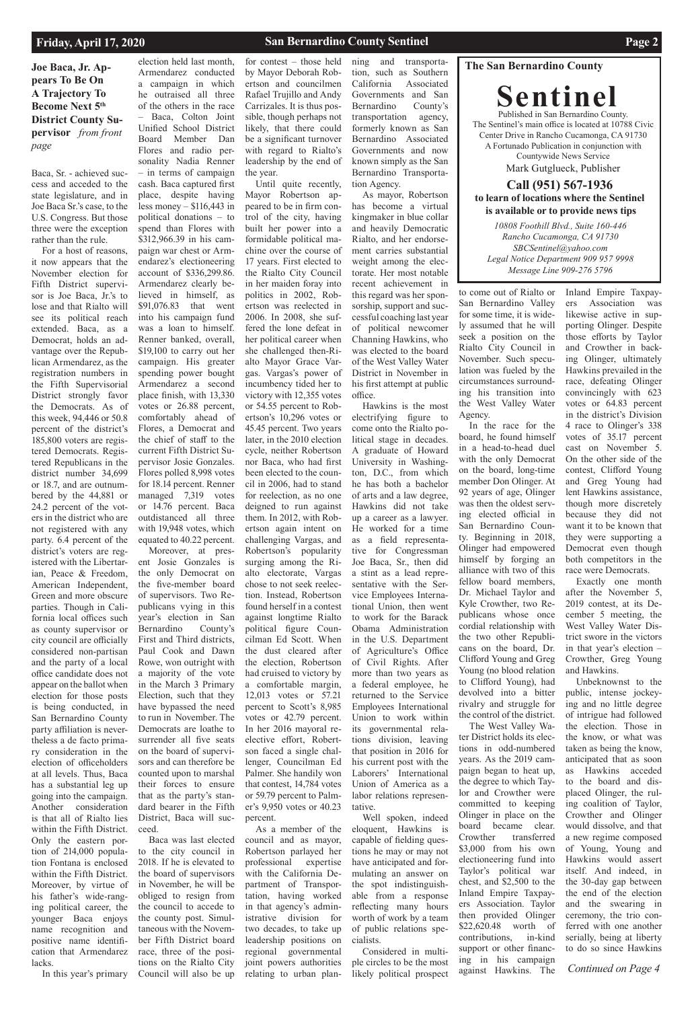# **The San Bernardino County**

**Sentinel** Published in San Bernardino County. The Sentinel's main office is located at 10788 Civic Center Drive in Rancho Cucamonga, CA 91730 A Fortunado Publication in conjunction with Countywide News Service Mark Gutglueck, Publisher

# **Call (951) 567-1936 to learn of locations where the Sentinel is available or to provide news tips**

**Joe Baca, Jr. Appears To Be On A Trajectory To Become Next 5th District County Supervisor** *from front page*

*Continued on Page 4*

*10808 Foothill Blvd., Suite 160-446 Rancho Cucamonga, CA 91730 SBCSentinel@yahoo.com Legal Notice Department 909 957 9998 Message Line 909-276 5796*

# **Friday, April 17, 2020**

# **San Bernardino County Sentinel <b>Page 2 Page 2**

Baca, Sr. - achieved success and acceded to the state legislature, and in Joe Baca Sr.'s case, to the U.S. Congress. But those three were the exception rather than the rule.

For a host of reasons, it now appears that the November election for Fifth District supervisor is Joe Baca, Jr.'s to lose and that Rialto will see its political reach extended. Baca, as a Democrat, holds an advantage over the Republican Armendarez, as the registration numbers in the Fifth Supervisorial District strongly favor the Democrats. As of this week, 94,446 or 50.8 percent of the district's 185,800 voters are registered Democrats. Registered Republicans in the district number 34,699 or 18.7, and are outnumbered by the 44,881 or 24.2 percent of the voters in the district who are not registered with any party. 6.4 percent of the district's voters are registered with the Libertarian, Peace & Freedom, American Independent, Green and more obscure parties. Though in California local offices such as county supervisor or city council are officially considered non-partisan and the party of a local office candidate does not appear on the ballot when election for those posts is being conducted, in San Bernardino County party affiliation is nevertheless a de facto primary consideration in the election of officeholders at all levels. Thus, Baca has a substantial leg up going into the campaign. Another consideration is that all of Rialto lies within the Fifth District. Only the eastern portion of 214,000 population Fontana is enclosed within the Fifth District. Moreover, by virtue of his father's wide-ranging political career, the younger Baca enjoys name recognition and positive name identification that Armendarez lacks.

election held last month, Armendarez conducted a campaign in which he outraised all three of the others in the race – Baca, Colton Joint Unified School District Board Member Dan Flores and radio personality Nadia Renner – in terms of campaign cash. Baca captured first place, despite having less money  $-$  \$116,443 in political donations – to spend than Flores with \$312,966.39 in his campaign war chest or Armendarez's electioneering account of \$336,299.86. Armendarez clearly believed in himself, as \$91,076.83 that went into his campaign fund was a loan to himself. Renner banked, overall, \$19,100 to carry out her campaign. His greater spending power bought Armendarez a second place finish, with 13,330 votes or 26.88 percent, comfortably ahead of Flores, a Democrat and the chief of staff to the current Fifth District Supervisor Josie Gonzales. Flores polled 8,998 votes for 18.14 percent. Renner managed 7,319 votes or 14.76 percent. Baca outdistanced all three with 19,948 votes, which equated to 40.22 percent. Moreover, at pres-

In this year's primary ent Josie Gonzales is the only Democrat on the five-member board of supervisors. Two Republicans vying in this year's election in San Bernardino First and Third districts, Paul Cook and Dawn Rowe, won outright with a majority of the vote in the March 3 Primary Election, such that they have bypassed the need to run in November. The Democrats are loathe to surrender all five seats on the board of supervisors and can therefore be counted upon to marshal their forces to ensure that as the party's standard bearer in the Fifth District, Baca will succeed. Baca was last elected to the city council in 2018. If he is elevated to the board of supervisors in November, he will be obliged to resign from the council to accede to the county post. Simultaneous with the November Fifth District board race, three of the positions on the Rialto City Council will also be up

for contest – those held by Mayor Deborah Robertson and councilmen Rafael Trujillo and Andy Carrizales. It is thus possible, though perhaps not likely, that there could be a significant turnover with regard to Rialto's leadership by the end of the year.

Until quite recently, Mayor Robertson appeared to be in firm control of the city, having built her power into a formidable political machine over the course of 17 years. First elected to the Rialto City Council in her maiden foray into politics in 2002, Robertson was reelected in 2006. In 2008, she suffered the lone defeat in her political career when she challenged then-Rialto Mayor Grace Vargas. Vargas's power of incumbency tided her to victory with 12,355 votes or 54.55 percent to Robertson's 10,296 votes or 45.45 percent. Two years later, in the 2010 election cycle, neither Robertson nor Baca, who had first been elected to the council in 2006, had to stand for reelection, as no one deigned to run against them. In 2012, with Robertson again intent on challenging Vargas, and Robertson's popularity surging among the Rialto electorate, Vargas chose to not seek reelection. Instead, Robertson found herself in a contest against longtime Rialto political figure Councilman Ed Scott. When the dust cleared after the election, Robertson had cruised to victory by a comfortable margin, 12,013 votes or 57.21 percent to Scott's 8,985 votes or 42.79 percent. In her 2016 mayoral reelective effort, Robertson faced a single challenger, Councilman Ed Palmer. She handily won that contest, 14,784 votes or 59.79 percent to Palmer's 9,950 votes or 40.23 percent. As a member of the council and as mayor, Robertson parlayed her professional expertise with the California Department of Transportation, having worked in that agency's administrative division for two decades, to take up leadership positions on regional governmental joint powers authorities relating to urban plan-

ning and transportation, such as Southern California Associated Governments and San Bernardino County's transportation agency, formerly known as San Bernardino Associated Governments and now known simply as the San Bernardino Transportation Agency.

As mayor, Robertson has become a virtual kingmaker in blue collar and heavily Democratic Rialto, and her endorsement carries substantial weight among the electorate. Her most notable recent achievement in this regard was her sponsorship, support and successful coaching last year of political newcomer Channing Hawkins, who was elected to the board of the West Valley Water District in November in his first attempt at public office.

Hawkins is the most

electrifying figure to come onto the Rialto political stage in decades. A graduate of Howard University in Washington, D.C., from which he has both a bachelor of arts and a law degree, Hawkins did not take up a career as a lawyer. He worked for a time as a field representative for Congressman Joe Baca, Sr., then did a stint as a lead representative with the Service Employees International Union, then went to work for the Barack Obama Administration in the U.S. Department of Agriculture's Office of Civil Rights. After more than two years as a federal employee, he returned to the Service Employees International Union to work within its governmental relations division, leaving that position in 2016 for his current post with the Laborers' International Union of America as a labor relations representative.

Well spoken, indeed eloquent, Hawkins is capable of fielding questions he may or may not have anticipated and formulating an answer on the spot indistinguishable from a response reflecting many hours worth of work by a team of public relations specialists. Considered in multiple circles to be the most likely political prospect

to come out of Rialto or San Bernardino Valley for some time, it is widely assumed that he will seek a position on the Rialto City Council in November. Such speculation was fueled by the circumstances surrounding his transition into the West Valley Water Agency.

In the race for the board, he found himself in a head-to-head duel with the only Democrat on the board, long-time member Don Olinger. At 92 years of age, Olinger was then the oldest serving elected official in San Bernardino County. Beginning in 2018, Olinger had empowered himself by forging an alliance with two of this fellow board members, Dr. Michael Taylor and Kyle Crowther, two Republicans whose once cordial relationship with the two other Republicans on the board, Dr. Clifford Young and Greg Young (no blood relation to Clifford Young), had devolved into a bitter rivalry and struggle for the control of the district. The West Valley Wa-

ter District holds its elections in odd-numbered years. As the 2019 campaign began to heat up, the degree to which Tay-

lor and Crowther were committed to keeping Olinger in place on the board became clear. Crowther transferred \$3,000 from his own electioneering fund into Taylor's political war chest, and \$2,500 to the Inland Empire Taxpayers Association. Taylor then provided Olinger \$22,620.48 worth of contributions, in-kind support or other financing in his campaign against Hawkins. The

Inland Empire Taxpayers Association was likewise active in supporting Olinger. Despite those efforts by Taylor and Crowther in backing Olinger, ultimately Hawkins prevailed in the race, defeating Olinger convincingly with 623 votes or 64.83 percent in the district's Division 4 race to Olinger's 338 votes of 35.17 percent cast on November 5. On the other side of the contest, Clifford Young and Greg Young had lent Hawkins assistance, though more discretely because they did not want it to be known that they were supporting a Democrat even though both competitors in the race were Democrats.

Exactly one month after the November 5, 2019 contest, at its December 5 meeting, the West Valley Water District swore in the victors in that year's election – Crowther, Greg Young and Hawkins.

Unbeknownst to the public, intense jockeying and no little degree of intrigue had followed the election. Those in the know, or what was taken as being the know, anticipated that as soon as Hawkins acceded to the board and displaced Olinger, the ruling coalition of Taylor, Crowther and Olinger would dissolve, and that a new regime composed of Young, Young and Hawkins would assert itself. And indeed, in the 30-day gap between the end of the election and the swearing in ceremony, the trio conferred with one another serially, being at liberty to do so since Hawkins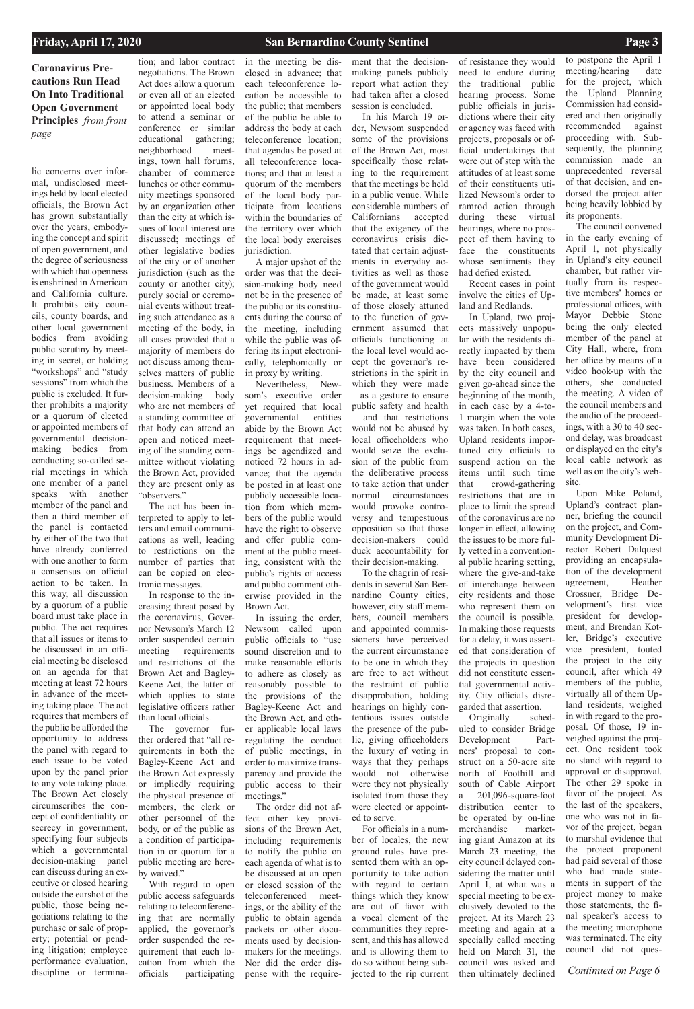*Continued on Page 6*

# **Coronavirus Precautions Run Head On Into Traditional Open Government Principles** *from front page*

lic concerns over informal, undisclosed meetings held by local elected officials, the Brown Act has grown substantially over the years, embodying the concept and spirit of open government, and the degree of seriousness with which that openness is enshrined in American and California culture. It prohibits city councils, county boards, and other local government bodies from avoiding public scrutiny by meeting in secret, or holding "workshops" and "study sessions" from which the public is excluded. It further prohibits a majority or a quorum of elected or appointed members of governmental decisionmaking bodies from conducting so-called serial meetings in which one member of a panel speaks with another member of the panel and then a third member of the panel is contacted by either of the two that have already conferred with one another to form a consensus on official action to be taken. In this way, all discussion by a quorum of a public board must take place in public. The act requires that all issues or items to be discussed in an official meeting be disclosed on an agenda for that meeting at least 72 hours in advance of the meeting taking place. The act requires that members of the public be afforded the opportunity to address the panel with regard to each issue to be voted upon by the panel prior to any vote taking place. The Brown Act closely circumscribes the concept of confidentiality or secrecy in government, specifying four subjects which a governmental decision-making panel can discuss during an executive or closed hearing outside the earshot of the public, those being negotiations relating to the purchase or sale of property; potential or pending litigation; employee performance evaluation, discipline or termina-

tion; and labor contract negotiations. The Brown Act does allow a quorum or even all of an elected or appointed local body to attend a seminar or conference or similar educational gathering; neighborhood meetings, town hall forums, chamber of commerce lunches or other community meetings sponsored by an organization other than the city at which issues of local interest are discussed; meetings of other legislative bodies of the city or of another jurisdiction (such as the county or another city); purely social or ceremonial events without treating such attendance as a meeting of the body, in all cases provided that a majority of members do not discuss among themselves matters of public business. Members of a decision-making body who are not members of a standing committee of that body can attend an open and noticed meeting of the standing committee without violating the Brown Act, provided they are present only as "observers."

The act has been interpreted to apply to letters and email communications as well, leading to restrictions on the number of parties that can be copied on electronic messages.

In response to the increasing threat posed by the coronavirus, Governor Newsom's March 12 order suspended certain meeting requirements and restrictions of the Brown Act and Bagley-Keene Act, the latter of which applies to state legislative officers rather than local officials.

The governor further ordered that "all requirements in both the Bagley-Keene Act and the Brown Act expressly or impliedly requiring the physical presence of members, the clerk or other personnel of the body, or of the public as a condition of participation in or quorum for a public meeting are hereby waived." With regard to open public access safeguards relating to teleconferencing that are normally applied, the governor's order suspended the requirement that each location from which the officials participating

in the meeting be disclosed in advance; that each teleconference location be accessible to the public; that members of the public be able to address the body at each teleconference location; that agendas be posed at all teleconference locations; and that at least a quorum of the members of the local body participate from locations within the boundaries of the territory over which the local body exercises jurisdiction.

A major upshot of the order was that the decision-making body need not be in the presence of the public or its constituents during the course of the meeting, including while the public was offering its input electronically, telephonically or in proxy by writing.

Nevertheless, Newsom's executive order yet required that local governmental entities abide by the Brown Act requirement that meetings be agendized and noticed 72 hours in advance; that the agenda be posted in at least one publicly accessible location from which members of the public would have the right to observe and offer public comment at the public meeting, consistent with the public's rights of access and public comment otherwise provided in the Brown Act.

In issuing the order, Newsom called upon public officials to "use sound discretion and to make reasonable efforts to adhere as closely as reasonably possible to the provisions of the Bagley-Keene Act and the Brown Act, and other applicable local laws regulating the conduct of public meetings, in order to maximize transparency and provide the public access to their

meetings."

The order did not affect other key provisions of the Brown Act, including requirements to notify the public on each agenda of what is to be discussed at an open or closed session of the teleconferenced meetings, or the ability of the public to obtain agenda packets or other documents used by decisionmakers for the meetings. Nor did the order dispense with the requirement that the decisionmaking panels publicly report what action they had taken after a closed session is concluded.

In his March 19 order, Newsom suspended some of the provisions of the Brown Act, most specifically those relating to the requirement that the meetings be held in a public venue. While considerable numbers of Californians accepted that the exigency of the coronavirus crisis dictated that certain adjustments in everyday activities as well as those of the government would be made, at least some of those closely attuned to the function of government assumed that officials functioning at the local level would accept the governor's restrictions in the spirit in which they were made – as a gesture to ensure public safety and health – and that restrictions would not be abused by local officeholders who would seize the exclusion of the public from the deliberative process to take action that under normal circumstances would provoke controversy and tempestuous opposition so that those decision-makers could duck accountability for their decision-making.

To the chagrin of residents in several San Bernardino County cities, however, city staff members, council members and appointed commissioners have perceived the current circumstance to be one in which they are free to act without the restraint of public disapprobation, holding hearings on highly contentious issues outside the presence of the public, giving officeholders the luxury of voting in ways that they perhaps would not otherwise were they not physically

isolated from those they were elected or appointed to serve.

of resistance they would need to endure during the traditional public hearing process. Some public officials in jurisdictions where their city or agency was faced with projects, proposals or official undertakings that were out of step with the attitudes of at least some of their constituents utilized Newsom's order to ramrod action through during these virtual hearings, where no prospect of them having to face the constituents whose sentiments they had defied existed.

Recent cases in point involve the cities of Upland and Redlands.

For officials in a number of locales, the new ground rules have presented them with an opportunity to take action with regard to certain things which they know are out of favor with a vocal element of the communities they represent, and this has allowed and is allowing them to do so without being subjected to the rip current merchandise marketing giant Amazon at its March 23 meeting, the city council delayed considering the matter until April 1, at what was a special meeting to be exclusively devoted to the project. At its March 23 meeting and again at a specially called meeting held on March 31, the council was asked and then ultimately declined

In Upland, two projects massively unpopular with the residents directly impacted by them have been considered by the city council and given go-ahead since the beginning of the month, in each case by a 4-to-1 margin when the vote was taken. In both cases, Upland residents importuned city officials to suspend action on the items until such time that crowd-gathering restrictions that are in place to limit the spread of the coronavirus are no longer in effect, allowing the issues to be more fully vetted in a conventional public hearing setting, where the give-and-take of interchange between city residents and those who represent them on the council is possible. In making those requests for a delay, it was asserted that consideration of the projects in question did not constitute essential governmental activity. City officials disregarded that assertion.

Originally scheduled to consider Bridge Development Partners' proposal to construct on a 50-acre site north of Foothill and south of Cable Airport

to postpone the April 1 meeting/hearing date for the project, which the Upland Planning Commission had considered and then originally recommended against proceeding with. Subsequently, the planning commission made an unprecedented reversal of that decision, and endorsed the project after being heavily lobbied by its proponents.

The council convened in the early evening of April 1, not physically in Upland's city council chamber, but rather virtually from its respective members' homes or professional offices, with Mayor Debbie Stone being the only elected member of the panel at City Hall, where, from her office by means of a video hook-up with the others, she conducted the meeting. A video of the council members and the audio of the proceedings, with a 30 to 40 second delay, was broadcast or displayed on the city's local cable network as well as on the city's website.

a 201,096-square-foot distribution center to be operated by on-line Upon Mike Poland, Upland's contract planner, briefing the council on the project, and Community Development Director Robert Dalquest providing an encapsulation of the development agreement, Heather Crossner, Bridge Development's first vice president for development, and Brendan Kotler, Bridge's executive vice president, touted the project to the city council, after which 49 members of the public, virtually all of them Upland residents, weighed in with regard to the proposal. Of those, 19 inveighed against the project. One resident took no stand with regard to approval or disapproval. The other 29 spoke in favor of the project. As the last of the speakers, one who was not in favor of the project, began to marshal evidence that the project proponent had paid several of those who had made statements in support of the project money to make those statements, the final speaker's access to the meeting microphone was terminated. The city council did not ques-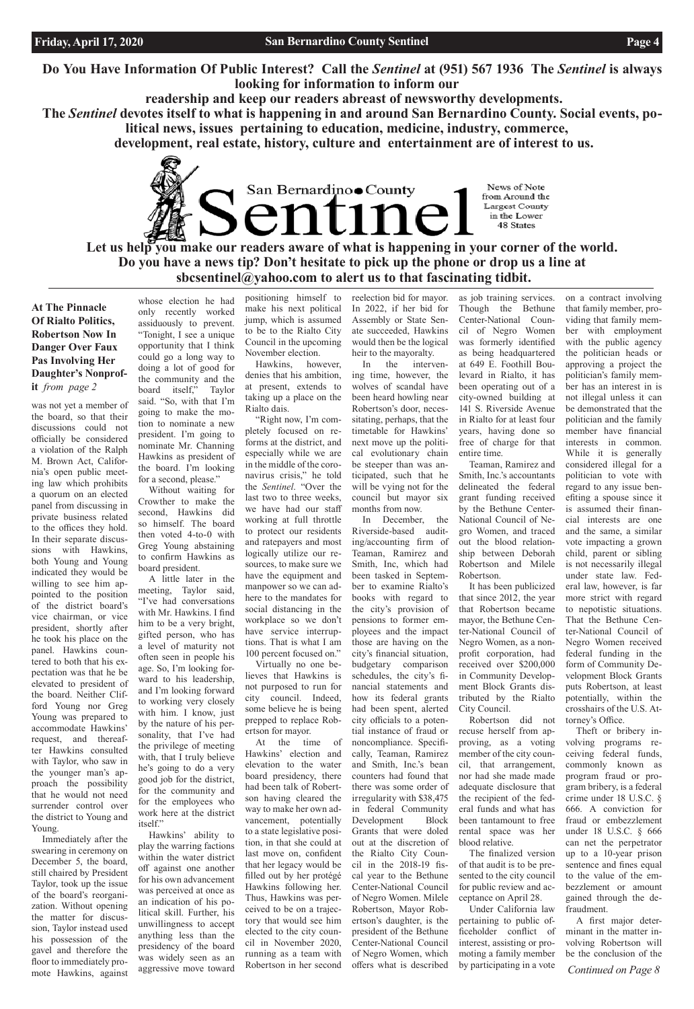**readership and keep our readers abreast of newsworthy developments.**

San Bernardino County

**The** *Sentinel* **devotes itself to what is happening in and around San Bernardino County. Social events, political news, issues pertaining to education, medicine, industry, commerce,**

Let us help you make our readers aware of what is happening in your corner of the world. **Do you have a news tip? Don't hesitate to pick up the phone or drop us a line at sbcsentinel@yahoo.com to alert us to that fascinating tidbit.**

 **development, real estate, history, culture and entertainment are of interest to us.** 

News of Note from Around the Largest County in the Lower 48 States

# **At The Pinnacle Of Rialto Politics, Robertson Now In Danger Over Faux Pas Involving Her Daughter's Nonprof-**

**it** *from page 2*

was not yet a member of the board, so that their discussions could not officially be considered a violation of the Ralph M. Brown Act, California's open public meeting law which prohibits a quorum on an elected panel from discussing in private business related to the offices they hold. In their separate discussions with Hawkins, both Young and Young indicated they would be willing to see him appointed to the position of the district board's vice chairman, or vice president, shortly after he took his place on the panel. Hawkins countered to both that his expectation was that he be elevated to president of the board. Neither Clifford Young nor Greg Young was prepared to accommodate Hawkins' request, and thereafter Hawkins consulted with Taylor, who saw in the younger man's approach the possibility that he would not need surrender control over the district to Young and Young. Immediately after the swearing in ceremony on December 5, the board, still chaired by President Taylor, took up the issue of the board's reorganization. Without opening the matter for discussion, Taylor instead used his possession of the gavel and therefore the floor to immediately promote Hawkins, against

whose election he had only recently worked assiduously to prevent. "Tonight, I see a unique opportunity that I think could go a long way to doing a lot of good for the community and the board itself," Taylor said. "So, with that I'm going to make the motion to nominate a new president. I'm going to nominate Mr. Channing Hawkins as president of the board. I'm looking for a second, please."

Without waiting for Crowther to make the second, Hawkins did so himself. The board then voted 4-to-0 with Greg Young abstaining to confirm Hawkins as board president.

A little later in the meeting, Taylor said, "I've had conversations with Mr. Hawkins. I find him to be a very bright, gifted person, who has a level of maturity not often seen in people his age. So, I'm looking forward to his leadership, and I'm looking forward to working very closely with him. I know, just by the nature of his personality, that I've had the privilege of meeting with, that I truly believe he's going to do a very good job for the district, for the community and for the employees who work here at the district itself." Hawkins' ability to play the warring factions within the water district off against one another for his own advancement was perceived at once as an indication of his political skill. Further, his unwillingness to accept anything less than the presidency of the board was widely seen as an aggressive move toward

positioning himself to make his next political jump, which is assumed to be to the Rialto City Council in the upcoming November election.

Hawkins, however, denies that his ambition, at present, extends to taking up a place on the Rialto dais.

"Right now, I'm completely focused on reforms at the district, and especially while we are in the middle of the coronavirus crisis," he told the *Sentinel*. "Over the last two to three weeks, we have had our staff working at full throttle to protect our residents and ratepayers and most logically utilize our resources, to make sure we have the equipment and manpower so we can adhere to the mandates for social distancing in the workplace so we don't have service interruptions. That is what I am 100 percent focused on."

Virtually no one believes that Hawkins is not purposed to run for city council. Indeed, some believe he is being prepped to replace Robertson for mayor.

At the time of Hawkins' election and elevation to the water board presidency, there had been talk of Robertson having cleared the way to make her own advancement, potentially to a state legislative position, in that she could at last move on, confident that her legacy would be filled out by her protégé Hawkins following her. Thus, Hawkins was perceived to be on a trajectory that would see him elected to the city council in November 2020, running as a team with Robertson in her second

*Continued on Page 8* A first major determinant in the matter involving Robertson will be the conclusion of the

reelection bid for mayor. In 2022, if her bid for Assembly or State Senate succeeded, Hawkins would then be the logical heir to the mayoralty.

In the intervening time, however, the wolves of scandal have been heard howling near Robertson's door, necessitating, perhaps, that the timetable for Hawkins' next move up the political evolutionary chain be steeper than was anticipated, such that he will be vying not for the council but mayor six months from now.

as job training services. Though the Bethune Center-National Council of Negro Women was formerly identified as being headquartered at 649 E. Foothill Boulevard in Rialto, it has been operating out of a city-owned building at 141 S. Riverside Avenue in Rialto for at least four years, having done so free of charge for that entire time.

In December, the Riverside-based auditing/accounting firm of Teaman, Ramirez and Smith, Inc, which had been tasked in September to examine Rialto's books with regard to the city's provision of pensions to former employees and the impact those are having on the city's financial situation, budgetary comparison schedules, the city's financial statements and how its federal grants had been spent, alerted city officials to a potential instance of fraud or noncompliance. Specifically, Teaman, Ramirez and Smith, Inc.'s bean counters had found that there was some order of irregularity with \$38,475 in federal Community Development Block Grants that were doled out at the discretion of the Rialto City Council in the 2018-19 fiscal year to the Bethune Center-National Council of Negro Women. Milele Robertson, Mayor Robertson's daughter, is the president of the Bethune Center-National Council of Negro Women, which offers what is described ficeholder conflict of interest, assisting or promoting a family member by participating in a vote

Teaman, Ramirez and Smith, Inc.'s accountants delineated the federal grant funding received by the Bethune Center-National Council of Negro Women, and traced out the blood relationship between Deborah Robertson and Milele Robertson.

It has been publicized that since 2012, the year that Robertson became mayor, the Bethune Center-National Council of Negro Women, as a nonprofit corporation, had received over \$200,000 in Community Development Block Grants distributed by the Rialto City Council.

Robertson did not recuse herself from approving, as a voting member of the city council, that arrangement, nor had she made made adequate disclosure that the recipient of the federal funds and what has been tantamount to free rental space was her blood relative. The finalized version of that audit is to be pre-

on a contract involving that family member, providing that family member with employment with the public agency the politician heads or approving a project the politician's family member has an interest in is not illegal unless it can be demonstrated that the politician and the family member have financial interests in common. While it is generally considered illegal for a politician to vote with regard to any issue benefiting a spouse since it is assumed their financial interests are one and the same, a similar vote impacting a grown child, parent or sibling is not necessarily illegal under state law. Federal law, however, is far more strict with regard to nepotistic situations. That the Bethune Center-National Council of Negro Women received federal funding in the form of Community Development Block Grants puts Robertson, at least potentially, within the crosshairs of the U.S. Attorney's Office.

sented to the city council for public review and acceptance on April 28. Under California law pertaining to public ofunder 18 U.S.C. § 666 can net the perpetrator up to a 10-year prison sentence and fines equal to the value of the embezzlement or amount gained through the defraudment.

Theft or bribery involving programs receiving federal funds, commonly known as program fraud or program bribery, is a federal

crime under 18 U.S.C. § 666. A conviction for fraud or embezzlement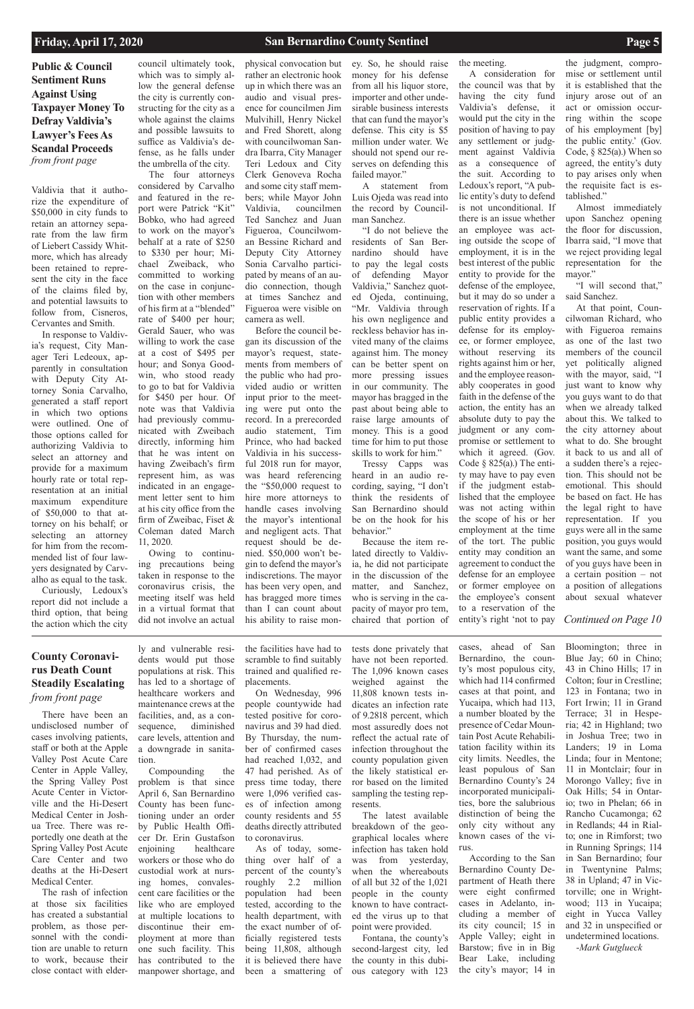# **County Coronavirus Death Count Steadily Escalating**  *from front page*

**Public & Council Sentiment Runs Against Using Taxpayer Money To Defray Valdivia's Lawyer's Fees As Scandal Proceeds**  *from front page*

*Continued on Page 10*

There have been an undisclosed number of cases involving patients, staff or both at the Apple Valley Post Acute Care Center in Apple Valley, the Spring Valley Post Acute Center in Victorville and the Hi-Desert Medical Center in Joshua Tree. There was reportedly one death at the Spring Valley Post Acute Care Center and two deaths at the Hi-Desert Medical Center. The rash of infection at those six facilities has created a substantial problem, as those personnel with the condition are unable to return to work, because their close contact with elder-

ly and vulnerable residents would put those populations at risk. This has led to a shortage of healthcare workers and maintenance crews at the facilities, and, as a consequence, diminished care levels, attention and a downgrade in sanitation.

Compounding the problem is that since April 6, San Bernardino County has been functioning under an order by Public Health Officer Dr. Erin Gustafson enjoining healthcare workers or those who do custodial work at nursing homes, convalescent care facilities or the like who are employed at multiple locations to discontinue their employment at more than one such facility. This has contributed to the manpower shortage, and

the facilities have had to scramble to find suitably trained and qualified replacements.

On Wednesday, 996 people countywide had tested positive for coronavirus and 39 had died. By Thursday, the number of confirmed cases had reached 1,032, and 47 had perished. As of press time today, there

were 1,096 verified cases of infection among county residents and 55 deaths directly attributed to coronavirus.

tests done privately that have not been reported. The 1,096 known cases weighed against the 11,808 known tests indicates an infection rate of 9.2818 percent, which most assuredly does not reflect the actual rate of infection throughout the county population given the likely statistical error based on the limited

As of today, something over half of a percent of the county's roughly 2.2 million population had been tested, according to the health department, with the exact number of officially registered tests being 11,808, although it is believed there have been a smattering of ous category with 123

sampling the testing represents.

The latest available breakdown of the geographical locales where infection has taken hold was from yesterday, when the whereabouts of all but 32 of the 1,021 people in the county known to have contracted the virus up to that point were provided. Fontana, the county's second-largest city, led the county in this dubi-

cases, ahead of San Bernardino, the county's most populous city, which had 114 confirmed cases at that point, and Yucaipa, which had 113, a number bloated by the presence of Cedar Mountain Post Acute Rehabilitation facility within its city limits. Needles, the least populous of San Bernardino County's 24

incorporated municipalities, bore the salubrious distinction of being the only city without any known cases of the virus. According to the San

Bernardino County Department of Heath there were eight confirmed cases in Adelanto, including a member of its city council; 15 in Apple Valley; eight in Barstow; five in in Big Bear Lake, including the city's mayor; 14 in

Bloomington; three in Blue Jay; 60 in Chino; 43 in Chino Hills; 17 in Colton; four in Crestline; 123 in Fontana; two in Fort Irwin; 11 in Grand Terrace; 31 in Hesperia; 42 in Highland; two in Joshua Tree; two in Landers; 19 in Loma Linda; four in Mentone; 11 in Montclair; four in Morongo Valley; five in Oak Hills; 54 in Ontario; two in Phelan; 66 in Rancho Cucamonga; 62 in Redlands; 44 in Rialto; one in Rimforst; two in Running Springs; 114 in San Bernardino; four in Twentynine Palms; 38 in Upland; 47 in Victorville; one in Wrightwood; 113 in Yucaipa; eight in Yucca Valley and 32 in unspecified or undetermined locations. -*Mark Gutglueck*

Valdivia that it authorize the expenditure of \$50,000 in city funds to retain an attorney separate from the law firm of Liebert Cassidy Whitmore, which has already been retained to represent the city in the face of the claims filed by, and potential lawsuits to follow from, Cisneros, Cervantes and Smith.

In response to Valdivia's request, City Manager Teri Ledeoux, apparently in consultation with Deputy City Attorney Sonia Carvalho, generated a staff report in which two options were outlined. One of those options called for authorizing Valdivia to select an attorney and provide for a maximum hourly rate or total representation at an initial maximum expenditure of \$50,000 to that attorney on his behalf; or selecting an attorney for him from the recommended list of four lawyers designated by Carvalho as equal to the task.

Curiously, Ledoux's report did not include a third option, that being the action which the city

council ultimately took, which was to simply allow the general defense the city is currently constructing for the city as a whole against the claims and possible lawsuits to suffice as Valdivia's defense, as he falls under the umbrella of the city.

The four attorneys considered by Carvalho and featured in the report were Patrick "Kit" Bobko, who had agreed to work on the mayor's behalf at a rate of \$250 to \$330 per hour; Michael Zweiback, who committed to working on the case in conjunction with other members of his firm at a "blended" rate of \$400 per hour; Gerald Sauer, who was willing to work the case at a cost of \$495 per hour; and Sonya Goodwin, who stood ready to go to bat for Valdivia for \$450 per hour. Of note was that Valdivia had previously communicated with Zweibach directly, informing him that he was intent on having Zweibach's firm represent him, as was indicated in an engagement letter sent to him at his city office from the firm of Zweibac, Fiset & Coleman dated March 11, 2020.

Owing to continuing precautions being taken in response to the coronavirus crisis, the meeting itself was held in a virtual format that did not involve an actual physical convocation but rather an electronic hook up in which there was an audio and visual presence for councilmen Jim Mulvihill, Henry Nickel and Fred Shorett, along with councilwoman Sandra Ibarra, City Manager Teri Ledoux and City Clerk Genoveva Rocha and some city staff members; while Mayor John Valdivia, councilmen Ted Sanchez and Juan Figueroa, Councilwoman Bessine Richard and Deputy City Attorney Sonia Carvalho participated by means of an audio connection, though at times Sanchez and Figueroa were visible on camera as well.

Before the council began its discussion of the mayor's request, statements from members of the public who had provided audio or written input prior to the meeting were put onto the record. In a prerecorded audio statement, Tim Prince, who had backed Valdivia in his successful 2018 run for mayor, was heard referencing the "\$50,000 request to hire more attorneys to handle cases involving the mayor's intentional and negligent acts. That request should be denied. \$50,000 won't begin to defend the mayor's indiscretions. The mayor has been very open, and has bragged more times than I can count about his ability to raise money. So, he should raise money for his defense from all his liquor store, importer and other undesirable business interests that can fund the mayor's defense. This city is \$5 million under water. We should not spend our reserves on defending this failed mayor."

A statement from Luis Ojeda was read into the record by Councilman Sanchez.

"I do not believe the residents of San Bernardino should have to pay the legal costs of defending Mayor Valdivia," Sanchez quoted Ojeda, continuing, "Mr. Valdivia through his own negligence and reckless behavior has invited many of the claims against him. The money can be better spent on more pressing issues in our community. The mayor has bragged in the past about being able to raise large amounts of money. This is a good time for him to put those skills to work for him."

Tressy Capps was heard in an audio recording, saying, "I don't think the residents of San Bernardino should be on the hook for his behavior."

Because the item related directly to Valdivia, he did not participate in the discussion of the matter, and Sanchez, who is serving in the capacity of mayor pro tem, chaired that portion of

the meeting.

A consideration for the council was that by having the city fund Valdivia's defense, it would put the city in the position of having to pay any settlement or judgment against Valdivia as a consequence of the suit. According to Ledoux's report, "A public entity's duty to defend is not unconditional. If there is an issue whether an employee was acting outside the scope of employment, it is in the best interest of the public entity to provide for the defense of the employee, but it may do so under a reservation of rights. If a public entity provides a defense for its employee, or former employee, without reserving its rights against him or her, and the employee reasonably cooperates in good faith in the defense of the action, the entity has an absolute duty to pay the judgment or any compromise or settlement to which it agreed. (Gov. Code  $§$  825(a).) The entity may have to pay even if the judgment established that the employee was not acting within the scope of his or her employment at the time of the tort. The public entity may condition an agreement to conduct the defense for an employee or former employee on the employee's consent to a reservation of the entity's right 'not to pay

the judgment, compromise or settlement until it is established that the injury arose out of an act or omission occurring within the scope of his employment [by] the public entity.' (Gov. Code,  $\S$  825(a).) When so agreed, the entity's duty to pay arises only when the requisite fact is established."

Almost immediately upon Sanchez opening the floor for discussion, Ibarra said, "I move that we reject providing legal representation for the mayor."

"I will second that," said Sanchez.

At that point, Councilwoman Richard, who with Figueroa remains as one of the last two members of the council yet politically aligned with the mayor, said, "I just want to know why you guys want to do that when we already talked about this. We talked to the city attorney about what to do. She brought it back to us and all of a sudden there's a rejection. This should not be emotional. This should be based on fact. He has the legal right to have representation. If you guys were all in the same position, you guys would want the same, and some of you guys have been in a certain position – not a position of allegations about sexual whatever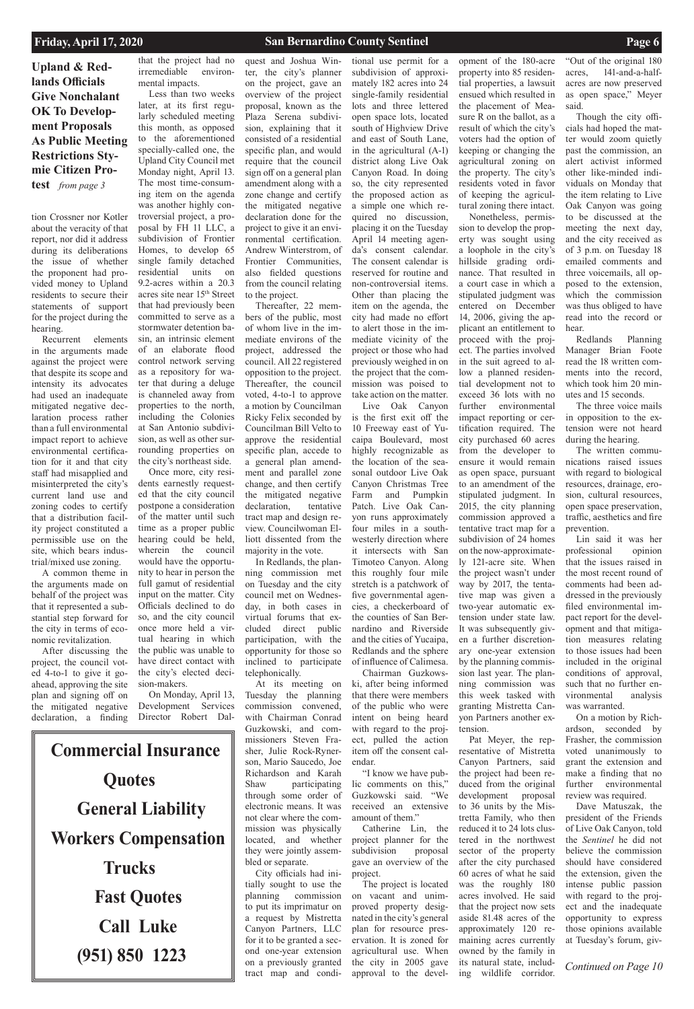**Upland & Redlands Officials Give Nonchalant OK To Development Proposals As Public Meeting Restrictions Stymie Citizen Pro-**

**test** *from page 3*

*Continued on Page 10*

# **Commercial Insurance Quotes**

 **General Liability Workers Compensation Trucks Fast Quotes Call Luke (951) 850 1223**

tion Crossner nor Kotler about the veracity of that report, nor did it address during its deliberations the issue of whether the proponent had provided money to Upland residents to secure their statements of support for the project during the hearing.

Recurrent elements in the arguments made against the project were that despite its scope and intensity its advocates had used an inadequate mitigated negative declaration process rather than a full environmental impact report to achieve environmental certification for it and that city staff had misapplied and misinterpreted the city's current land use and zoning codes to certify that a distribution facility project constituted a permissible use on the site, which bears industrial/mixed use zoning.

A common theme in the arguments made on behalf of the project was that it represented a substantial step forward for the city in terms of economic revitalization.

After discussing the project, the council voted 4-to-1 to give it goahead, approving the site plan and signing off on the mitigated negative declaration, a finding

that the project had no irremediable environmental impacts.

Less than two weeks later, at its first regularly scheduled meeting this month, as opposed to the aforementioned specially-called one, the Upland City Council met Monday night, April 13. The most time-consuming item on the agenda was another highly controversial project, a proposal by FH 11 LLC, a subdivision of Frontier Homes, to develop 65 single family detached residential units on 9.2-acres within a 20.3 acres site near 15th Street that had previously been committed to serve as a stormwater detention basin, an intrinsic element of an elaborate flood control network serving as a repository for water that during a deluge is channeled away from properties to the north, including the Colonies at San Antonio subdivision, as well as other surrounding properties on the city's northeast side.

Once more, city residents earnestly requested that the city council postpone a consideration of the matter until such time as a proper public hearing could be held, wherein the council would have the opportunity to hear in person the full gamut of residential input on the matter. City Officials declined to do so, and the city council once more held a virtual hearing in which the public was unable to have direct contact with the city's elected decision-makers.

On Monday, April 13, Development Services Director Robert Dalquest and Joshua Winter, the city's planner on the project, gave an overview of the project proposal, known as the Plaza Serena subdivision, explaining that it consisted of a residential specific plan, and would require that the council sign off on a general plan amendment along with a zone change and certify the mitigated negative declaration done for the project to give it an environmental certification. Andrew Winterstrom, of Frontier Communities, also fielded questions from the council relating to the project.

Thereafter, 22 members of the public, most of whom live in the immediate environs of the project, addressed the council. All 22 registered opposition to the project. Thereafter, the council voted, 4-to-1 to approve a motion by Councilman Ricky Felix seconded by Councilman Bill Velto to approve the residential specific plan, accede to a general plan amendment and parallel zone change, and then certify the mitigated negative declaration, tentative tract map and design review. Councilwoman Elliott dissented from the majority in the vote.

In Redlands, the planning commission met on Tuesday and the city council met on Wednesday, in both cases in virtual forums that excluded direct public participation, with the opportunity for those so inclined to participate telephonically.

At its meeting on Tuesday the planning commission convened, with Chairman Conrad Guzkowski, and commissioners Steven Frasher, Julie Rock-Rynerson, Mario Saucedo, Joe Richardson and Karah Shaw participating through some order of electronic means. It was not clear where the commission was physically located, and whether they were jointly assembled or separate. City officials had initially sought to use the planning commission to put its imprimatur on a request by Mistretta Canyon Partners, LLC for it to be granted a second one-year extension on a previously granted tract map and condi-

tional use permit for a subdivision of approximately 182 acres into 24 single-family residential lots and three lettered open space lots, located south of Highview Drive and east of South Lane, in the agricultural (A-1) district along Live Oak Canyon Road. In doing so, the city represented the proposed action as a simple one which required no discussion, placing it on the Tuesday April 14 meeting agenda's consent calendar. The consent calendar is reserved for routine and non-controversial items. Other than placing the item on the agenda, the city had made no effort to alert those in the immediate vicinity of the project or those who had previously weighed in on the project that the commission was poised to

take action on the matter.

Live Oak Canyon is the first exit off the 10 Freeway east of Yucaipa Boulevard, most highly recognizable as the location of the seasonal outdoor Live Oak Canyon Christmas Tree Farm and Pumpkin Patch. Live Oak Canyon runs approximately four miles in a southwesterly direction where it intersects with San Timoteo Canyon. Along this roughly four mile stretch is a patchwork of five governmental agencies, a checkerboard of the counties of San Bernardino and Riverside and the cities of Yucaipa, Redlands and the sphere of influence of Calimesa.

Chairman Guzkowski, after being informed that there were members of the public who were intent on being heard with regard to the project, pulled the action item off the consent calendar.

opment of the 180-acre property into 85 residential properties, a lawsuit ensued which resulted in the placement of Measure R on the ballot, as a result of which the city's voters had the option of keeping or changing the agricultural zoning on the property. The city's residents voted in favor of keeping the agricultural zoning there intact.

"I know we have public comments on this," Guzkowski said. "We received an extensive amount of them." Catherine Lin, the project planner for the subdivision proposal gave an overview of the project. The project is located on vacant and unimproved property designated in the city's general plan for resource preservation. It is zoned for agricultural use. When the city in 2005 gave approval to the develdevelopment proposal to 36 units by the Mistretta Family, who then reduced it to 24 lots clustered in the northwest sector of the property after the city purchased 60 acres of what he said was the roughly 180 acres involved. He said that the project now sets aside 81.48 acres of the approximately 120 remaining acres currently owned by the family in its natural state, including wildlife corridor.

Nonetheless, permission to develop the property was sought using a loophole in the city's hillside grading ordinance. That resulted in a court case in which a stipulated judgment was entered on December 14, 2006, giving the applicant an entitlement to proceed with the project. The parties involved in the suit agreed to allow a planned residential development not to exceed 36 lots with no further environmental impact reporting or certification required. The city purchased 60 acres from the developer to ensure it would remain as open space, pursuant to an amendment of the stipulated judgment. In 2015, the city planning commission approved a tentative tract map for a subdivision of 24 homes on the now-approximately 121-acre site. When the project wasn't under way by 2017, the tentative map was given a two-year automatic extension under state law. It was subsequently given a further discretionary one-year extension by the planning commission last year. The planning commission was this week tasked with granting Mistretta Canyon Partners another extension.

Pat Meyer, the representative of Mistretta Canyon Partners, said the project had been reduced from the original

"Out of the original 180 acres, 141-and-a-halfacres are now preserved as open space," Meyer said.

Though the city officials had hoped the matter would zoom quietly past the commission, an alert activist informed other like-minded individuals on Monday that the item relating to Live Oak Canyon was going to be discussed at the meeting the next day, and the city received as of 3 p.m. on Tuesday 18 emailed comments and three voicemails, all opposed to the extension, which the commission was thus obliged to have read into the record or hear.

Redlands Planning Manager Brian Foote read the 18 written comments into the record, which took him 20 minutes and 15 seconds.

The three voice mails in opposition to the extension were not heard during the hearing.

The written communications raised issues with regard to biological resources, drainage, erosion, cultural resources, open space preservation, traffic, aesthetics and fire prevention.

Lin said it was her professional opinion that the issues raised in the most recent round of comments had been addressed in the previously filed environmental impact report for the development and that mitigation measures relating to those issues had been included in the original conditions of approval, such that no further environmental analysis was warranted.

On a motion by Richardson, seconded by Frasher, the commission voted unanimously to grant the extension and make a finding that no further environmental review was required. Dave Matuszak, the president of the Friends of Live Oak Canyon, told the *Sentinel* he did not believe the commission should have considered the extension, given the intense public passion with regard to the project and the inadequate opportunity to express those opinions available at Tuesday's forum, giv-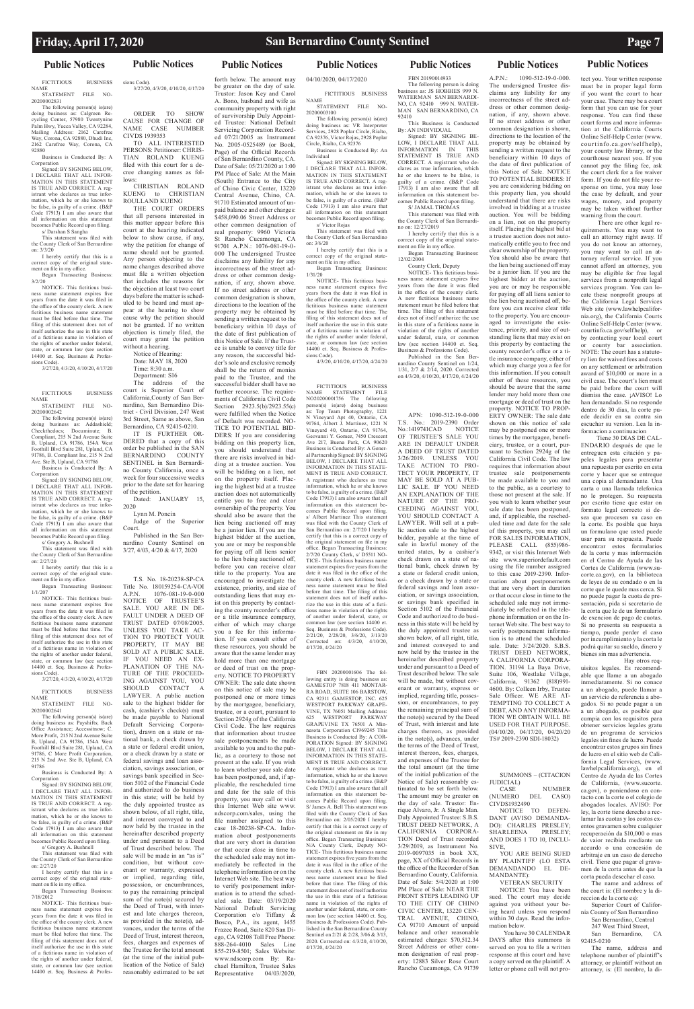# **Public Notices Public Notices Public Notices Public Notices Public Notices Public Notices Public Notices**

FICTITIOUS BUSINESS NAME STATEMENT FILE NO-20200002831

2162 Carefree Way, Corona, CA Business is Conducted By: A

Corporation Signed: BY SIGNING BELOW, I DECLARE THAT ALL INFOR-MATION IN THIS STATEMENT IS TRUE AND CORRECT. A registrant who declares as true information, which he or she knows to be false, is guilty of a crime. (B&P Code 17913) I am also aware that all information on this statement becomes Public Record upon filing.

The following person(s) is(are) doing business as: Calgreen Re-cycling Center, 57980 Twentynine Palm Hwy, Yucca Valley, CA 92284, Mailing Address: 2162 Carefree Way, Corona, CA 92880, Dhudi Inc, 2162 Carefree Way, Corona, CA

s/ Darshan S Sangha This statement was filed with the County Clerk of San Bernardino on: 3/3/20

I hereby certify that this is a correct copy of the original statement on file in my office.

Began Transacting Business: 3/2/20

s/ Gregory A. Bushnell<br>This statement was file ment was filed with the County Clerk of San Bernardino

ment on file in my office. Began Transacting Business:

NOTICE- This fictitious business name statement expires five years from the date it was filed in the office of the county clerk. A new fictitious business name statement must be filed before that time. The filing of this statement does not of authorize the use in this state of a fictitious name in violation of the rights of another under federal, state, or common law (see section 14400 et. Seq. Business & Professions Code).

3/27/20, 4/3/20, 4/10/20, 4/17/20

FICTITIOUS BUSINESS NAME

STATEMENT FILE NO-20200002642

The following person(s) is(are) doing business as: Addashield; Checkthedocs; Documinute; B. Compliant, 215 N 2nd Avenue Suite B, Upland, CA 91786, 154A West Foothill Blvd Suite 281, Upland, CA 91786, B. Compliant Inc, 215 N 2nd Ave. Ste B, Upland, CA 91786 Business is Conducted By: A

I hereby certify that this is a correct copy of the original statement on file in my office. Began Transacting Business:

NOTICE- This fictitious business name statement expires five years from the date it was filed in the office of the county clerk. A new fictitious business name statement must be filed before that time. The filing of this statement does not of itself authorize the use in this state of a fictitious name in violation of the rights of another under federal, state, or common law (see section 14400 et. Seq. Business & Profes-

Corporation Signed: BY SIGNING BELOW, I DECLARE THAT ALL INFOR-MATION IN THIS STATEMENT IS TRUE AND CORRECT. A registrant who declares as true information, which he or she knows to be false, is guilty of a crime. (B&P Code 17913) I am also aware that all information on this statement becomes Public Record upon filing.

on: 2/27/20 I hereby certify that this is a correct copy of the original state-

1/1/207 NOTICE- This fictitious busi-

ness name statement expires five years from the date it was filed in the office of the county clerk. A new fictitious business name statement must be filed before that time. The filing of this statement does not of itself authorize the use in this state of a fictitious name in violation of the rights of another under federal, state, or common law (see section 14400 et. Seq. Business & Profesweek for four successive weeks prior to the date set for hearing of the petition. Dated: JANUARY 15,

sions Code). 3/27/20, 4/3/20, 4/10/20, 4/17/20

FICTITIOUS BUSINESS NAME STATEMENT FILE NO-

20200002641 The following person(s) is(are) doing business as: Payshifts; Back Office Assistance; Accessitnow; C. More Profit, 215 N 2nd Avenue Suite B, Upland, CA 91786, 154A West Foothill Blvd Suite 281, Upland, CA 91786, C More Profit Corporation, 215 N 2nd Ave. Ste B, Upland, CA 91786

Business is Conducted By: A Corporation

Signed: BY SIGNING BELOW, I DECLARE THAT ALL INFOR-MATION IN THIS STATEMENT IS TRUE AND CORRECT. A registrant who declares as true information, which he or she knows to be false, is guilty of a crime. (B&P Code 17913) I am also aware that all information on this statement becomes Public Record upon filing.

s/ Gregory A. Bushnell

This statement was filed with the County Clerk of San Bernardino on: 2/27/20

7/18/2012

ORDER TO SHOW CAUSE FOR CHANGE OF NAME CASE NUMBER CIVDS 1939353 TO ALL INTERESTED

PERSONS: Petitioner: CHRIS-TIAN ROLAND KUENG filed with this court for a decree changing names as follows:

CHRISTIAN ROLAND KUENG to CHRISTIAN ROULLAND KUENG

THE COURT ORDERS that all persons interested in this matter appear before this court at the hearing indicated below to show cause, if any, why the petition for change of name should not be granted. Any person objecting to the name changes described above must file a written objection that includes the reasons for the objection at least two court days before the matter is scheduled to be heard and must appear at the hearing to show cause why the petition should not be granted. If no written objection is timely filed, the court may grant the petition without a hearing.

> and date for the sale of this property, you may call or visit this Internet Web site www. ndscorp.com/sales, using the file number assigned to this case 18-20238-SP-CA. Information about postponements that are very short in duration or that occur close in time to the scheduled sale may not immediately be reflected in the telephone information or on the Internet Web site. The best way to verify postponement information is to attend the scheduled sale. Date: 03/19/2020 National Default Servicing Corporation c/o Tiffany & Bosco, P.A., its agent, 1455 Frazee Road, Suite 820 San Diego, CA 92108 Toll Free Phone: 888-264-4010 Sales Line 855-219-8501; Sales Website: www.ndscorp.com By: Rachael Hamilton, Trustee Sales Representative 04/03/2020.

Notice of Hearing: Date: MAY 18, 2020 Time: 8:30 a.m. Department: S16 The address of the court is Superior Court of California,County of San Bernardino, San Bernardino District - Civil Division, 247 West 3rd Street, Same as above, San Bernardino, CA 92415-0210. IT IS FURTHER OR-DERED that a copy of this order be published in the SAN BERNARDINO COUNTY SENTINEL in San Bernardino County California, once a

2020 Lynn M. Poncin

Judge of the Superior Court.

Published in the San Bernardino County Sentinel on 3/27, 4/03, 4/20 & 4/17, 2020

sions Code). 3/27/20, 4/3/20, 4/10/20, 4/17/20 forth below. The amount may be greater on the day of sale. Trustor: Jason Key and Carol A. Bono, husband and wife as community property with right

business as: JS HOBBIES 999 N WATERMAN SAN BERNARDI-NO, CA 92410 999 N. WATER-SAN BERNARDINO, CA 92410 This Business is Conducted

T.S. No. 18-20238-SP-CA Title No. 180159254-CA-VOI<br>A.P.N. 1076-081-19-0-000 A.P.N. 1076-081-19-0-000 NOTICE OF TRUSTEE'S SALE. YOU ARE IN DE-FAULT UNDER A DEED OF TRUST DATED 07/08/2005. UNLESS YOU TAKE AC-TION TO PROTECT YOUR PROPERTY, IT MAY BE SOLD AT A PUBLIC SALE. IF YOU NEED AN EX-PLANATION OF THE NA-TURE OF THE PROCEED-ING AGAINST YOU, YOU SHOULD CONTACT A LAWYER. A public auction sale to the highest bidder for cash, (cashier's check(s) must be made payable to National Default Servicing Corporation), drawn on a state or national bank, a check drawn by a state or federal credit union, or a check drawn by a state or federal savings and loan association, savings association, or savings bank specified in Section 5102 of the Financial Code and authorized to do business in this state; will be held by the duly appointed trustee as shown below, of all right, title, and interest conveyed to and now held by the trustee in the hereinafter described property under and pursuant to a Deed of Trust described below. The sale will be made in an "as is" condition, but without covenant or warranty, expressed or implied, regarding title, possession, or encumbrances, to pay the remaining principal sum of the note(s) secured by the Deed of Trust, with interest and late charges thereon, as provided in the note(s), advances, under the terms of the Deed of Trust, interest thereon, fees, charges and expenses of the Trustee for the total amount (at the time of the initial publication of the Notice of Sale) reasonably estimated to be set title to the property. You are encouraged to investigate the existence, priority, and size of outstanding liens that may exist on this property by contacting the county recorder's office or a title insurance company, either of which may charge you a fee for this information. If you consult either of these resources, you should be aware that the same lender may hold more than one mortgage or deed of trust on the property. NOTICE TO PROPERTY OWNER: The sale date shown on this notice of sale may be postponed one or more times by the mortgagee, beneficiary, trustee, or a court, pursuant to Section 2924g of the California Civil Code. The law requires that information about trustee sale postponements be made available to you and to the public, as a courtesy to those not present at the sale. If you wish to learn whether your sale date has been postponed, and, if applicable, the rescheduled time

Published in the San Bernardino County Sentinel on 1/24, 1/31, 2/7 & 2/14, 2020. Corrected on 4/3/20, 4/10/20, 4/17/20, 4/24/20

of survivorship Duly Appointed Trustee: National Default Servicing Corporation Recorded 07/21/2005 as Instrument No. 2005-0525489 (or Book, Page) of the Official Records of San Bernardino County, CA. Date of Sale: 05/21/2020 at 1:00 PM Place of Sale: At the Main (South) Entrance to the City of Chino Civic Center, 13220 Central Avenue, Chino, CA. 91710 Estimated amount of unpaid balance and other charges: \*458,090.06 Street Address or other common designation of real property: 9960 Victoria St Rancho Cucamonga, CA 91701 A.P.N.: 1076-081-19-0- 000 The undersigned Trustee disclaims any liability for any incorrectness of the street address or other common designation, if any, shown above. If no street address or other common designation is shown, directions to the location of the property may be obtained by sending a written request to the beneficiary within 10 days of the date of first publication of this Notice of Sale. If the Trustee is unable to convey title for any reason, the successful bidder's sole and exclusive remedy shall be the return of monies paid to the Trustee, and the successful bidder shall have no further recourse. The requirements of California Civil Code Section 2923.5(b)/2923.55(c) were fulfilled when the Notice of Default was recorded. NO-TICE TO POTENTIAL BID-DERS: If you are considering bidding on this property lien, you should understand that there are risks involved in bidding at a trustee auction. You will be bidding on a lien, not on the property itself. Placing the highest bid at a trustee auction does not automatically entitle you to free and clear ownership of the property. You should also be aware that the lien being auctioned off may be a junior lien. If you are the highest bidder at the auction, you are or may be responsible for paying off all liens senior to the lien being auctioned off, before you can receive clear

04/10/2020, 04/17/2020

FICTITIOUS BUSINESS NAME STATEMENT FILE NO-20200003100

The following person(s) is(are) doing business as: VR Interpreter Services, 2928 Poplar Circle, Rialto, CA 92376, Victor Rojas, 2928 Poplar Circle, Rialto, CA 92376 Business is Conducted By: An

Individual Signed: BY SIGNING BELOW, I DECLARE THAT ALL INFOR-MATION IN THIS STATEMENT IS TRUE AND CORRECT. A registrant who declares as true information, which he or she knows to be false, is guilty of a crime. (B&P Code 17913) I am also aware that all information on this statement becomes Public Record upon filing. s/ Victor Rojas

This statement was filed with the County Clerk of San Bernardino on: 3/6/20

I hereby certify that this is a correct copy of the original state-ment on file in my office. Began Transacting Business: 1/31/20

NOTICE- This fictitious business name statement expires five years from the date it was filed in the office of the county clerk. A new fictitious business name statement must be filed before that time. The filing of this statement does not of itself authorize the use in this state of a fictitious name in violation of the rights of another under federal, state, or common law (see section 14400 et. Seq. Business & Professions Code).

4/3/20, 4/10/20, 4/17/20, 4/24/20

FICTITIOUS BUSINESS NAME STATEMENT FILE NO20200001756 The following person(s) is(are) doing business as: Top Team Photography, 1221 N Vineyard Apt 40, Ontario, CA 91764, Albert J. Martinez, 1221 N Vineyard 40, Ontario, CA 91764, Geovanni Y. Gomez, 7450 Crescent Ave 217, Buena Park, CA 90620 Business is Conducted By: A Gener-al Partnership Signed: BY SIGNING BELOW, I DECLARE THAT ALL INFORMATION IN THIS STATE-MENT IS TRUE AND CORRECT. A registrant who declares as true information, which he or she knows to be false, is guilty of a crime. (B&P Code 17913) I am also aware that all information on this statement becomes Public Record upon filing. s/ Albert Martinez This statement was filed with the County Clerk of San Bernardino on: 2/7/20 I hereby certify that this is a correct copy of the original statement on file in my office. Began Transacting Business: 2/7/20 County Clerk, s/ D5511 NO-TICE- This fictitious business name statement expires five years from the date it was filed in the office of the county clerk. A new fictitious business name statement must be filed before that time. The filing of this statement does not of itself authorize the use in this state of a fictitious name in violation of the rights of another under federal, state, or common law (see section 14400 et. Seq. Business & Professions Code). 2/21/20, 2/28/20, 3/6/20, 3/13/20 Corrected on: 4/3/20, 4/10/20, 4/17/20, 4/24/20

FBN 20200001606 The following entity is doing business as: GAMESTOP 7818 411 MONTAR-RA ROAD, SUITE 106 BARSTOW, CA 92311 GAMESTOP, INC. 625 WESTPORT PARKWAY GRAPE-VINE, TX 76051 Mailing Address: 625 WESTPORT PARKWAY GRAPEVINE TX 76501 A Minnesota Corporation C1969245 This Business is Conducted By: A COR-PORATION Signed: BY SIGNING BELOW, I DECLARE THAT ALL INFORMATION IN THIS STATE-MENT IS TRUE AND CORRECT. A registrant who declares as true information, which he or she knows to be false, is guilty of a crime. (B&P Code 17913) I am also aware that all information on this statement becomes Public Record upon filing. S/ James A. Bell This statement was filed with the County Clerk of San Bernardino on: 2/05/2020 I hereby certify that this is a correct copy of the original statement on file in my office. Began Transacting Business: N/A County Clerk, Deputy NO-TICE- This fictitious business name statement expires five years from the date it was filed in the office of the county clerk. A new fictitious business name statement must be filed before that time. The filing of this statement does not of itself authorize the use in this state of a fictitious name in violation of the rights of another under federal, state, or common law (see section 14400 et. Seq. Business & Professions Code). Published in the San Bernardino County Sentinel on 2/21 & 2/28, 3/06 & 3/13, 2020. Corrected on: 4/3/20, 4/10/20, 4/17/20, 4/24/20

# FBN 20190014933 The following person is doing

By: AN INDIVIDUAL

Signed: BY SIGNING BE-LOW, I DECLARE THAT ALL INFORMATION IN THIS STATEMENT IS TRUE AND CORRECT. A registrant who declares as true information, which he or she knows to be false, is guilty of a crime. (B&P Code 17913) I am also aware that all information on this statement becomes Public Record upon filing. S/ JAMAL THOMAS

This statement was filed with the County Clerk of San Bernardino on: 12/27/2019

I hereby certify that this is a correct copy of the original state-ment on file in my office.

Began Transacting Business: 12/02/2004 County Clerk, Deputy

NOTICE- This fictitious busi-

ness name statement expires five years from the date it was filed in the office of the county clerk. A new fictitious business name statement must be filed before that time. The filing of this statement does not of itself authorize the use in this state of a fictitious name in violation of the rights of another under federal, state, or common law (see section 14400 et. Seq. Business & Professions Code).

APN: 1090-512-19-0-000 T.S. No.: 2019-2390 Order No.:1419741CAD NOTICE OF TRUSTEE'S SALE YOU ARE IN DEFAULT UNDER A DEED OF TRUST DATED 3/26/2019. UNLESS YOU TAKE ACTION TO PRO-TECT YOUR PROPERTY, IT MAY BE SOLD AT A PUB-LIC SALE. IF YOU NEED AN EXPLANATION OF THE NATURE OF THE PRO-CEEDING AGAINST YOU, YOU SHOULD CONTACT A LAWYER. Will sell at a public auction sale to the highest bidder, payable at the time of sale in lawful money of the united states, by a cashier's check drawn on a state of national bank, check drawn by a state or federal credit union, or a check drawn by a state or federal savings and loan association, or savings association, or savings bank specified in Section 5102 of the Financial Code and authorized to do business in this state will be held by the duly appointed trustee as shown below, of all right, title, and interest conveyed to and now held by the trustee in the hereinafter described property under and pursuant to a Deed of Trust described below. The sale will be made, but without covenant or warranty, express or implied, regarding title, possession, or encumbrances, to pay the remaining principal sum of the note(s) secured by the Deed of Trust, with interest and late charges thereon, as provided in the note(s), advances, under the terms of the Deed of Trust, interest thereon, fees, charges, and expenses of the Trustee for the total amount (at the time of the initial publication of the Notice of Sale) reasonably estimated to be set forth below. The amount may be greater on the day of sale. Trustor: Enrique Alvaro, Jr. A Single Man. Duly Appointed Trustee: S.B.S. TRUST DEED NETWORK, A CALIFORNIA CORPORA-TION Deed of Trust recorded 3/29/2019, as Instrument No. 2019-0097035 in book XX, page, XX of Official Records in the office of the Recorder of San Bernardino County, California. Date of Sale: 5/4/2020 at 1:00 PM Place of Sale: NEAR THE FRONT STEPS LEADING UP TO THE CITY OF CHINO CIVIC CENTER, 13220 CEN-TRAL AVENUE, CHINO, CA 91710 Amount of unpaid balance and other reasonable estimated charges: \$70,512.34 Street Address or other common designation of real property: 12883 Silver Rose Court Rancho Cucamonga, CA 91739

# A.P.N.: 1090-512-19-0-000.

The undersigned Trustee disclaims any liability for any incorrectness of the street address or other common designation, if any, shown above. If no street address or other common designation is shown, directions to the location of the property may be obtained by sending a written request to the beneficiary within 10 days of the date of first publication of this Notice of Sale. NOTICE TO POTENTIAL BIDDERS: If you are considering bidding on this property lien, you should understand that there are risks involved in bidding at a trustee auction. You will be bidding on a lien, not on the property itself. Placing the highest bid at a trustee auction does not automatically entitle you to free and clear ownership of the property. You should also be aware that the lien being auctioned off may be a junior lien. If you are the highest bidder at the auction, you are or may be responsible for paying off all liens senior to the lien being auctioned off, before you can receive clear title to the property. You are encouraged to investigate the existence, priority, and size of outstanding liens that may exist on this property by contacting the county recorder's office or a title insurance company, either of which may charge you a fee for this information. If you consult either of these resources, you should be aware that the same lender may hold more than one mortgage or deed of trust on the property. NOTICE TO PROP-ERTY OWNER: The sale date shown on this notice of sale may be postponed one or more times by the mortgagee, beneficiary, trustee, or a court, pursuant to Section 2924g of the California Civil Code. The law requires that information about trustee sale postponements be made available to you and to the public, as a courtesy to those not present at the sale. If you wish to learn whether your sale date has been postponed, and, if applicable, the rescheduled time and date for the sale of this property, you may call FOR SALES INFORMATION, PLEASE CALL (855)986- 9342, or visit this Internet Web site www.superiordefault.com using the file number assigned to this case 2019-2390. Information about postponements that are very short in duration or that occur close in time to the scheduled sale may not immediately be reflected in the telephone information or on the Internet Web site. The best way to verify postponement information is to attend the scheduled sale. Date: 3/24/2020. S.B.S. TRUST DEED NETWORK, A CALIFORNIA CORPORA-TION. 31194 La Baya Drive, Suite 106, Westlake Village, California, 91362 (818)991- 4600. By: Colleen Irby, Trustee Sale Officer. WE ARE AT-TEMPTING TO COLLECT A DEBT, AND ANY INFORMA-TION WE OBTAIN WILL BE USED FOR THAT PURPOSE.

(04/10/20, 04/17/20, 04/20/20 TS# 2019-2390 SDI-18032)

# SUMMONS – (CITACION JUDICIAL)

CASE NUMBER (NUMERO DEL CASO) CIVDS1932490 NOTICE TO DEFEN-DANT (AVISO DEMANDA-DO): CHARLES PRESLEY; SHARLEENA PRESLEY;

SIVE,

AND DOES 1 TO 10, INCLU-L,<br>VOU ARE BEING SUED. BY PLAINTIFF (LO ESTA DEMANDANDO EL DE-MANDANTE):

VETERAN SECURITY NOTICE! You have been sued. The court may decide against you without your being heard unless you respond within 30 days. Read the information below.

 You have 30 CALENDAR DAYS after this summons is served on you to file a written response at this court and have a copy served on the plaintiff. A letter or phone call will not protect you. Your written response must be in proper legal form if you want the court to hear your case. There may be a court form that you can use for your response. You can find these court forms and more information at the California Courts Online Self-Help Center (www. courtinfo.ca.gov/selfhelp), your county law library, or the courthouse nearest you. If you cannot pay the filing fee, ask the court clerk for a fee waiver form. If you do not file your response on time, you may lose the case by default, and your wages, money, and property may be taken without further warning from the court.

 There are other legal requirements. You may want to call an attorney right away. If you do not know an attorney, you may want to call an attorney referral service. If you cannot afford an attorney, you may be eligible for free legal services from a nonprofit legal services program. You can locate these nonprofit groups at the California Legal Services Web site (www.lawhelpcalifornia.org), the California Courts Online Self-Help Center (www. courtinfo.ca.gov/selfhelp), or by contacting your local court or county bar association. NOTE: The court has a statutory lien for waived fees and costs on any settlement or arbitration award of \$10,000 or more in a civil case. The court's lien must be paid before the court will dismiss the case. ¡AVISO! Lo han demandado. Si no responde dentro de 30 dias, la corte puede decidir en su contra sin escuchar su version. Lea la informacion a continuacion

 Tiene 30 DIAS DE CAL-ENDARIO después de que le entreguen esta citación y papeles legales para presentar una repuesta por escrito en esta corte y hacer que se entreque una copia al demandante. Una carta o una llamada telefonica no le protegen. Su respuesta por escrito tiene que estar on formato legal correcto si desea que procesen su caso en la corte. Es posible que haya un formulano que usted puede usar para su respuesta. Puede encontrar estos formularios de la corte y mas información en el Centro de Ayuda de las Cortes de California (www.sucorte.ca.gov), en la biblioteca de leyes de su condado o en la corte que le quede mas cerca. Si no puede pagar la cuota de presentación, pida si secretario de la corta que le de un formulario de exencion de pago de cuotas. Si no presenta su respuesta a tiempo, puede perder el caso por incumplimiento y la corta le podrá quitar su sueldo, dinero y bienes sin mas advertencia.

 Hay otros requisitos legales. Es recomendable que llame a un abogado inmediatamente. Si no conace a un abogado, puede llamar a un servicio de referencia a abogados. Si no peude pagar a un a un abogado, es posible que cumpia con los requisitos para obtener servicios legales gratu de un programa de servicios legales sin fines de lucro. Puede encontrar estos grupos sin fines de lucro en el sitio web de California Legal Services, (www. lawhelpcalifornia.org), en el Centro de Ayuda de las Cortes de California, (www.sucorte. ca.gov), o poniendoso en contacto con la corte o el colegio de abogados locales. AVISO: Por ley, la corte tiene derecho a reclamar las cuotas y los costos exentos gravamen sobre cualquier recuperación da \$10,000 o mas de vaior recibida mediante un aceurdo o una concesión de arbitraje en un caso de derecho civil. Tiene que pagar el gravamen de la corta antes de que la corta pueda desechar el caso. The name and address of the court is: (El nombre y la direccion de la corte es): Superior Court of California County of San Bernardino San Bernardino, Central 247 West Third Street, San Bernardino 92415-0210 The name, address and telephone number of plaintiff's attorney, or plaintiff without an attorney, is: (El nombre, la di-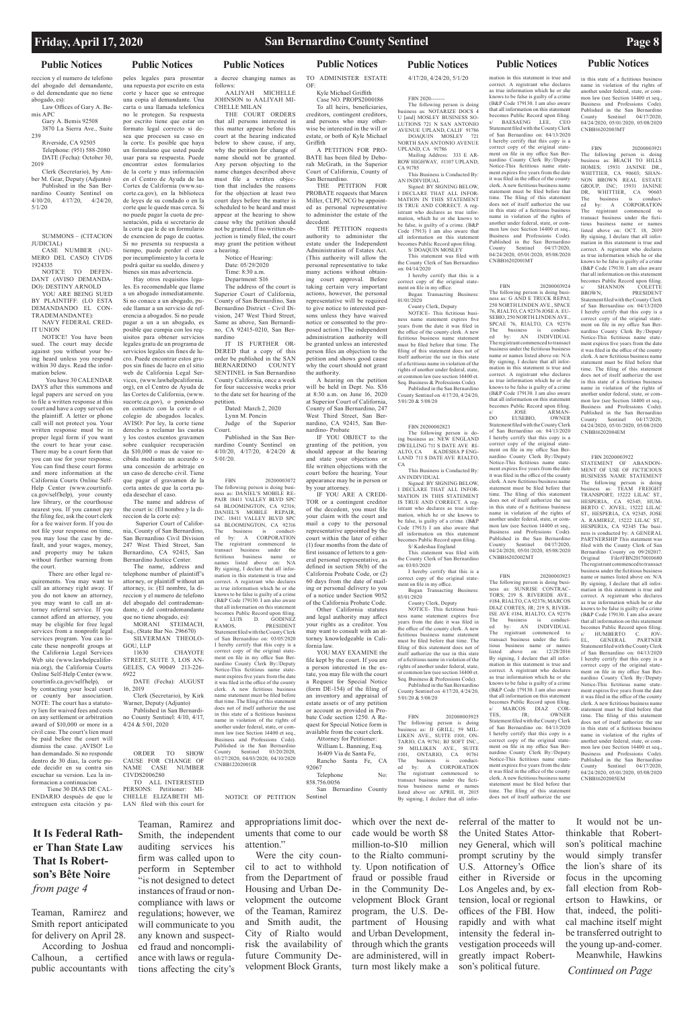# **Public Notices Public Notices Public Notices Public Notices Public Notices Public Notices Public Notices**

reccion y el numero de telefono del abogado del demandante, o del demendante que no tiene abogado, es): Law Offices of Gary A. Be-

mis APC Gary A. Bemis 92508

3870 La Sierra Ave., Suite 239

Riverside, CA 92505 Telephone: (951) 588-2080

DATE (Fecha): October 30, 2019 Clerk (Secretario), by Am-

ber M. Gear, Deputy (Adjunto) Published in the San Bernardino County Sentinel on<br> $4/10/20$ ,  $4/17/20$ ,  $4/24/20$ ,  $4/17/20$ ,  $4/24/20$ , 5/1/20

SUMMONS – (CITACION JUDICIAL) CASE NUMBER (NU-

MERO DEL CASO) CIVDS 1924335

NOTICE TO DEFEN-DANT (AVISO DEMANDA-DO): DESTINY ARNOLD

YOU ARE BEING SUED BY PLAINTIFF: (LO ESTA DEMANDANDO EL CON-TRADEMANDANTE): NAVY FEDERAL CRED-

IT UNION

NOTICE! You have been sued. The court may decide against you without your being heard unless you respond within 30 days. Read the information below.

 You have 30 CALENDAR DAYS after this summons and legal papers are served on you to file a written response at this court and have a copy served on the plaintiff. A letter or phone call will not protect you. Your written response must be in proper legal form if you want the court to hear your case. There may be a court form that you can use for your response. You can find these court forms and more information at the California Courts Online Self-Help Center (www.courtinfo. ca.gov/selfhelp), your county law library, or the courthouse nearest you. If you cannot pay the filing fee, ask the court clerk for a fee waiver form. If you do not file your response on time, you may lose the case by default, and your wages, money, and property may be taken without further warning from the court.

 There are other legal requirements. You may want to call an attorney right away. If you do not know an attorney, you may want to call an attorney referral service. If you cannot afford an attorney, you may be eligible for free legal services from a nonprofit legal services program. You can locate these nonprofit groups at the California Legal Services Web site (www.lawhelpcalifornia.org), the California Courts Online Self-Help Center (www. courtinfo.ca.gov/selfhelp), or by contacting your local court or county bar association. NOTE: The court has a statutory lien for waived fees and costs on any settlement or arbitration award of \$10,000 or more in a civil case. The court's lien must be paid before the court will dismiss the case. ¡AVISO! Lo han demandado. Si no responde dentro de 30 dias, la corte puede decidir en su contra sin escuchar su version. Lea la in-

ORDER TO SHOW CAUSE FOR CHANGE OF<br>NAME CASE NUMBER CASE NUMBER

formacion a continuacion

CHELLE ELIZABETH MI-LAN filed with this court for

peles legales para presentar una repuesta por escrito en esta corte y hacer que se entreque una copia al demandante. Una carta o una llamada telefonica no le protegen. Su respuesta por escrito tiene que estar on formato legal correcto si desea que procesen su caso en la corte. Es posible que haya un formulano que usted puede usar para su respuesta. Puede encontrar estos formularios de la corte y mas información en el Centro de Ayuda de las Cortes de California (www.sucorte.ca.gov), en la biblioteca de leyes de su condado o en la corte que le quede mas cerca. Si no puede pagar la cuota de presentación, pida si secretario de la corta que le de un formulario de exencion de pago de cuotas. Si no presenta su respuesta a tiempo, puede perder el caso por incumplimiento y la corta le podrá quitar su sueldo, dinero y bienes sin mas advertencia. Hay otros requisitos legales. Es recomendable que llame a un abogado inmediatamente. Si no conace a un abogado, puede llamar a un servicio de referencia a abogados. Si no peude pagar a un a un abogado, es posible que cumpia con los requisitos para obtener servicios legales gratu de un programa de servicios legales sin fines de lucro. Puede encontrar estos grupos sin fines de lucro en el sitio web de California Legal Services, (www.lawhelpcalifornia. org), en el Centro de Ayuda de las Cortes de California, (www. sucorte.ca.gov), o poniendoso en contacto con la corte o el colegio de abogados locales. AVISO: Por ley, la corte tiene derecho a reclamar las cuotas y los costos exentos gravamen sobre cualquier recuperación da \$10,000 o mas de vaior recibida mediante un aceurdo o una concesión de arbitraje en un caso de derecho civil. Tiene que pagar el gravamen de la

decree changing names as follows: AALIYAH MICHELLE JOHNSON to AALIYAH MI-CHELLE MILAN

 Tiene 30 DIAS DE CAL-ENDARIO después de que le entreguen esta citación y pa-PERSONS: Petitioner: MI-

THE PETITION FOR PROBATE requests that Maren Miller, CLPF, NCG be appointed as personal representative to administer the estate of the decedent. THE PETITION requests

eda desechar el caso.

reccion de la corte es):

Bernardino Justice Center.

que no tiene abogado, es):

GOU, LLP

Esq., (State Bar No. 296670)

11630 CHAYOTE STREET, SUITE 3, LOS AN-GELES, CA 90049 213-226-

6922

DATE (Fecha): AUGUST

16, 2019

Clerk (Secretario), by Kirk Warner, Deputy (Adjunto) Published in San Bernardino County Sentinel: 4/10, 4/17,

4/24 & 5/01, 2020

CIVDS2006280

TO ALL INTERESTED

YOU MAY EXAMINE the file kept by the court. If you are a person interested in the estate, you may file with the court a Request for Special Notice (form DE-154) of the filing of an inventory and appraisal of estate assets or of any petition or account as provided in Probate Code section 1250. A Request for Special Notice form is available from the court clerk.

This statement was filed with e County Clerk of San Bernardino

THE COURT ORDERS that all persons interested in this matter appear before this court at the hearing indicated below to show cause, if any, why the petition for change of name should not be granted. Any person objecting to the name changes described above must file a written objection that includes the reasons for the objection at least two court days before the matter is scheduled to be heard and must appear at the hearing to show cause why the petition should not be granted. If no written objection is timely filed, the court may grant the petition without

corta antes de que la corta pu-The name and address of the court is: (El nombre y la di-Superior Court of California, County of San Bernardino, San Bernardino Civil Division 247 West Third Street, San Bernardino, CA 92415, San The name, address and telephone number of plaintiff's attorney, or plaintiff without an attorney, is: (El nombre, la direccion y el numero de telefono del abogado del contrademandante, o del contrademandante MORANI STEIMACH. SILVERMAN THEOLO-The following person is doing busi-ness as: DANIEL'S MOBILE RE-PAIR 18411 VALLEY BLVD SPC 64 BLOOMINGTON, CA 92316; DANIEL'S MOBILE REPAIR, INC. 18411 VALLEY BLVD SPC 64 BLOOMINGTON, CA 92316 The business is conduct-ed by: A CORPORATION The registrant commenced to transact business under the fictitious business name or names listed above on: N/A By signing, I declare that all infor-mation in this statement is true and correct. A registrant who declares as true information which he or she knows to be false is guilty of a crime (B&P Code 179130. I am also aware that all information on this statement becomes Public Record upon filing. s/ LUIS D. GODINEZ RAMOS, PRESIDENT<br>Statement filed with the County Clerk Statement filed with the County Clerk

a hearing. Notice of Hearing: Date: 05/29/2020 Time: 8:30 a.m.

> Published in the San Bernardi County Sentinel on 4/17/20, 4/24/20, 5/01/20 & 5/08/20

Department: S16 The address of the court is Superior Court of California, County of San Bernardino, San Bernardino District - Civil Division, 247 West Third Street, Same as above, San Bernardino, CA 92415-0210, San Bernardino IT IS FURTHER OR-

DERED that a copy of this order be published in the SAN BERNARDINO COUNTY SENTINEL in San Bernardino County California, once a week for four successive weeks prior to the date set for hearing of the petition.

Dated: March 2, 2020 Lynn M. Poncin

Judge of the Superior Court. Published in the San Ber-

nardino County Sentinel on 4/10/20, 4/17/20, 4/24/20 & 5/01/20.

FBN 20200003072

of San Bernardino on: 03/05/2020 I hereby certify that this copy is a correct copy of the original statement on file in my office San Bernardino County Clerk By:/Deputy Notice-This fictitious name statement expires five years from the date it was filed in the office of the county clerk. A new fictitious business name statement must be filed before that time. The filing of this statement does not of itself authorize the use in this state of a fictitious business name in violation of the rights of another under federal, state, or common law (see Section 14400 et seq., Business and Professions Code). Published in the San Bernardino<br>County Sentinel 03/20/2020, County Sentinel 03/20/2020, 03/27/2020, 04/03/2020, 04/10/2020

CNBB12202001IR

TO ADMINISTER ESTATE OF:

Kyle Michael Griffith Case NO. PROPS2000186 To all heirs, beneficiaries,

creditors, contingent creditors, and persons who may otherwise be interested in the will or estate, or both of Kyle Michael Griffith

A PETITION FOR PRO-BATE has been filed by Deborah McGrath, in the Superior Court of California, County of San Bernardino.

> time. The filing of this sta does not of itself authorize the use

authority to administer the estate under the Independent Administration of Estates Act. (This authority will allow the personal representative to take many actions without obtaining court approval. Before taking certain very important actions, however, the personal representative will be required to give notice to interested persons unless they have waived notice or consented to the proposed action.) The independent administration authority will be granted unless an interested person files an objection to the petition and shows good cause why the court should not grant the authority.

A hearing on the petition will be held in Dept. No. S36 at 8:30 a.m. on June 16, 2020 at Superior Court of California, County of San Bernardino, 247 West Third Street, San Bernardino, CA 92415, San Bernardino- Probate

NOTICE OF PETITION San Bernardino County Sentinel

IF YOU OBJECT to the granting of the petition, you should appear at the hearing and state your objections or file written objections with the court before the hearing. Your appearance may be in person or by your attorney.

IF YOU ARE A CREDI-TOR or a contingent creditor of the decedent, you must file your claim with the court and mail a copy to the personal representative appointed by the court within the later of either (1) four months from the date of first issuance of letters to a general personal representative, as defined in section 58(b) of the California Probate Code, or (2) 60 days from the date of mailing or personal delivery to you of a notice under Section 9052 of the California Probate Code.

Other California statutes and legal authority may affect your rights as a creditor. You may want to consult with an attorney knowledgeable in California law.

> Attorney for Petitioner: William L. Banning, Esq. 16409 Via de Santa Fe, Rancho Santa Fe, CA

92067 Telephone No: 858.756.0056

4/17/20, 4/24/20, 5/1/20

FBN 2020-------

The following person is doing business as: NOTARIZE DOCS 4 U [and] MOSLEY BUSINESS SO-LUTIONS 721 N SAN ANTONIO AVENUE UPLAND, CALIF 91786 DOAQUIN MOSLEY 721 NORTH SAN ANTONIO AVENUE

UPLAND, CA 91786 Mailing Address: 333 E AR-ROW HIGHWAY, #1107 UPLAND,

CA 91785 This Business is Conducted By:

*Continued on Page*  It would not be unthinkable that Robertson's political machine would simply transfer the lion's share of its focus in the upcoming fall election from Robertson to Hawkins, or that, indeed, the political machine itself might be transferred outright to the young up-and-comer. Meanwhile, Hawkins

AN INDIVIDUAL Signed: BY SIGNING BELOW I DECLARE THAT ALL INFOR-MATION IN THIS STATEMENT IS TRUE AND CORRECT. A registrant who declares as true infor-mation, which he or she knows to be false, is guilty of a crime. (B&P Code 17913) I am also aware that all information on this statement becomes Public Record upon filing. S/ DOAQUIN MOSLEY

on: 04/14/2020 I hereby certify that this is a correct copy of the original state-

ment on file in my office. Began Transacting Business:

01/01/2020

County Clerk, Deputy NOTICE- This fictitious business name statement expires five years from the date it was filed in the office of the county clerk. A new fictitious business name statement must be filed before that time. The filing of this statement does not of itself authorize the use in this state of a fictitious name in violation of the rights of another under federal, state, or common law (see section 14400 et. Seq. Business & Professions Code).

# FBN 20200002823

The following person is do-ing business as: NEW ENGLAND DWELLING 711 S DATE AVE RI-ALTO, CA KADESHA P ENG-LAND 711 S DATE AVE RIALTO, CA

This Business is Conducted By: AN INDIVIDUAL

Signed: BY SIGNING BELOW, I DECLARE THAT ALL INFOR-MATION IN THIS STATEMENT IS TRUE AND CORRECT. A registrant who declares as true information, which he or she knows be false, is guilty of a crime. (B&P Code 17913) I am also aware that all information on this statement becomes Public Record upon filing.

S/ Kadeshaa England This statement was filed with the County Clerk of San Bernardino on: 03/03/2020

I hereby certify that this is a correct copy of the original state-

ment on file in my office.<br>Began Transacting Business:<br>03/01/2020

County Clerk, Deputy

NOTICE- This fictitious business name statement expires five years from the date it was filed in the office of the county clerk. A new fictitious business name statement must be filed before that time. The filing of this statement does not of itself authorize the use in this state of a fictitious name in violation of the rights of another under federal, state, or common law (see section 14400 et. Seq. Business & Professions Code).

Published in the San Bernardino County Sentinel on 4/17/20, 4/24/20, 5/01/20 & 5/08/20

mation in this statement is true and correct. A registrant who declares as true information which he or she knows to be false is guilty of a crime (B&P Code 179130. I am also aware that all information on this statement becomes Public Record upon filing. BAESAENG LEE, CEO Statement filed with the County Clerk of San Bernardino on: 04/13/2020 I hereby certify that this copy is a correct copy of the original statement on file in my office San Bernardino County Clerk By:/Deputy Notice-This fictitious name statement expires five years from the date it was filed in the office of the county clerk. A new fictitious business name statement must be filed before that time. The filing of this statement does not of itself authorize the use in this state of a fictitious business name in violation of the rights of another under federal, state, or common law (see Section 14400 et seq., Business and Professions Code). Published in the San Bernardino County Sentinel 04/17/2020, 04/24/2020, 05/01/2020, 05/08/2020

CNBB16202001MT

FBN 202000003925 The following person is doing business as: JJ GRILL; 59 MIL-LIKEN AVE., SUITE #101, ON-TARIO, CA 91761; BJ SOFT INC., 59 MILLIKEN AVE., SUITE #101, ONTARIO, CA 91761 The business is conduct-ed by: A CORPORATION The registrant commenced to transact business under the fictitious business name or names listed above on: APRIL 01, 2015 By signing, I declare that all infor-Statement filed with the County Clerk I hereby certify that this copy is a nardino County Clerk By:/Deputy ment expires five years from the date it was filed in the office of the county clerk. A new fictitious business name statement must be filed before that

CNBB16202002MT

FBN 20200003923 The following person is doing busi-ness as: SUNRISE CONTRAC-TORS; 219 S. RIVERIDE AVE., #184, RIALTO, CA 92376; MARCOS DIAZ CORTES, JR; 219 S, RIVER-ISE AVE #184, RIALTO, CA 92376<br>The business is conduct-The business is conduct-ed by: AN INDIVIDUAL The registrant commenced to transact business under the fictitious business name or names listed above on: 12/28/2016 By signing, I declare that all infor-mation in this statement is true and correct. A registrant who declares as true information which he or she knows to be false is guilty of a crime (B&P Code 179130. I am also aware that all information on this statement becomes Public Record upon filing. s/ MARCOS DIAZ COR-TES, JR; OWNER

FBN 20200003924 The following person is doing business as: G AND E TRUCK REPAI; 250 NORTH LINDEN AVE., SPACE 76, RIALTO, CA 92376 JOSE A. EU-SEBIO, 250 NORTH LINDEN AVE. SPCAE 76, RIALTO, CA 92376 The business is conduct-ed by: AN INDIVIDUAL The registrant commenced to transact business under the fictitious business name or names listed above on: N/A By signing, I declare that all information in this statement is true and correct. A registrant who declares as true information which he or she knows to be false is guilty of a crime (B&P Code 179130. I am also aware that all information on this statement becomes Public Record upon filing  $s/10SE$ s/ JOSE ARMAN-<br>DO EUSEBIO, OWNER EUSEBIO, Statement filed with the County Clerk of San Bernardino on: 04/13/2020 I hereby certify that this copy is a correct copy of the original statement on file in my office San Bernardino County Clerk By:/Deputy Notice-This fictitious name statement expires five years from the date it was filed in the office of the county clerk. A new fictitious business name statement must be filed before that time. The filing of this statement does not of itself authorize the use in this state of a fictitious business name in violation of the rights of another under federal, state, or common law (see Section 14400 et seq., becomes Public Record upon filing. s/ SHANNON COLETTE BROWN, PRESIDENT Statement filed with the County Clerk of San Bernardino on: 04/13/2020 I hereby certify that this copy is a correct copy of the original statement on file in my office San Bernardino County Clerk By:/Deputy Notice-This fictitious name statement expires five years from the date it was filed in the office of the county clerk. A new fictitious business name statement must be filed before that time. The filing of this statement does not of itself authorize the use in this state of a fictitious business name in violation of the rights of another under federal, state, or common law (see Section 14400 et seq. Business and Professions Code).

of San Bernardino on: 04/13/2020

correct copy of the original state-ment on file in my office San Ber-

Notice-This fictitious name state-

in this state of a fictitious business name in violation of the rights of another under federal, state, or common law (see Section 14400 et seq. Business and Professions Code). Published in the San Bernardino County Sentinel 04/17/2020, 04/24/2020, 05/01/2020, 05/08/2020

CNBB16202003MT

Business and Professions Code). Published in the San Bernardin County Sentinel 04/17/2020, 04/24/2020, 05/01/2020, 05/08/2020 Published in the San Bernardino<br>County Sentinel 04/17/2020. County Sentinel 04/24/2020, 05/01/2020, 05/08/2020 CNBB16202004EM FBN 20200003922 STATEMENT OF ABANDON-MENT OF USE OF FICTICIOUS BUSINESS NAME STATEMENT The following person is doing business as: TEAM FREIGHT TRANSPORT; 15222 LILAC ST., HESPERIA, CA 92345; HUM-BERTO C. JOVEL; 15222 LILAC ST., HESPERIA, CA 92345, JOSE A. RAMIREZ, 15222 LILAC ST., HESPERIA, CA 92345 The business is conducted by: A GENERAL PARTNERSHIP This statement was filed with the County Clerk of San Bernardino County on 09/202017. Original File#FBN20170010680

FBN 20200003921 The following person is doing business as: BEACH TO HILLS HOMES: 15931 JANINE DR. WHITTIER, CA 90603; SHAN-NON BROWN REAL ESTATE GROUP, INC; 15931 JANINE DR, WHITTIER, CA 90603<br>The business is conduct-The business is conduct-ed by: A CORPORATION The registrant commenced to<br>transact business under the ficti $b$ usiness under the fictitious business name or names listed above on: OCT. 18, 2019 By signing, I declare that all information in this statement is true and correct. A registrant who declares as true information which he or she knows to be false is guilty of a crime (B&P Code 179130. I am also aware that all information on this statement

The registrant commenced to transact business under the fictitious business name or names listed above on: N/A By signing, I declare that all information in this statement is true and correct. A registrant who declares as true information which he or she knows to be false is guilty of a crime (B&P Code 179130. I am also aware that all information on this statement becomes Public Record upon filing.

s/ HUMBERTO C. JOV-EL, GENERAL PARTNER Statement filed with the County Clerk of San Bernardino on: 04/13/2020 I hereby certify that this copy is a correct copy of the original statement on file in my office San Bernardino County Clerk By:/Deputy Notice-This fictitious name statement expires five years from the date it was filed in the office of the county clerk. A new fictitious business name statement must be filed before that time. The filing of this statement does not of itself authorize the use in this state of a fictitious business name in violation of the rights of another under federal, state, or common law (see Section 14400 et seq. Business and Professions Code). Published in the San Bernardino<br>County Sentinel 04/17/2020 County Sentinel 04/24/2020, 05/01/2020, 05/08/2020 CNBB16202005EM

# **It Is Federal Rather Than State Law That Is Robertson's Bête Noire** *from page 4*

Teaman, Ramirez and Smith report anticipated for delivery on April 28. According to Joshua Calhoun, a certified public accountants with

Teaman, Ramirez and Smith, the independent auditing services his firm was called upon to perform in September "is not designed to detect instances of fraud or noncompliance with laws or regulations; however, we will communicate to you any known and suspected fraud and noncompliance with laws or regulations affecting the city's appropriations limit documents that come to our attention."

Were the city council to act to withhold from the Department of Housing and Urban Development the outcome of the Teaman, Ramirez and Smith audit, the City of Rialto would risk the availability of future Community Development Block Grants,

which over the next decade would be worth \$8 million-to-\$10 million to the Rialto community. Upon notification of fraud or possible fraud in the Community Development Block Grant program, the U.S. Department of Housing and Urban Development, through which the grants are administered, will in turn most likely make a

referral of the matter to the United States Attorney General, which will prompt scrutiny by the U.S. Attorney's Office either in Riverside or Los Angeles and, by extension, local or regional offices of the FBI. How rapidly and with what intensity the federal investigation proceeds will greatly impact Robertson's political future.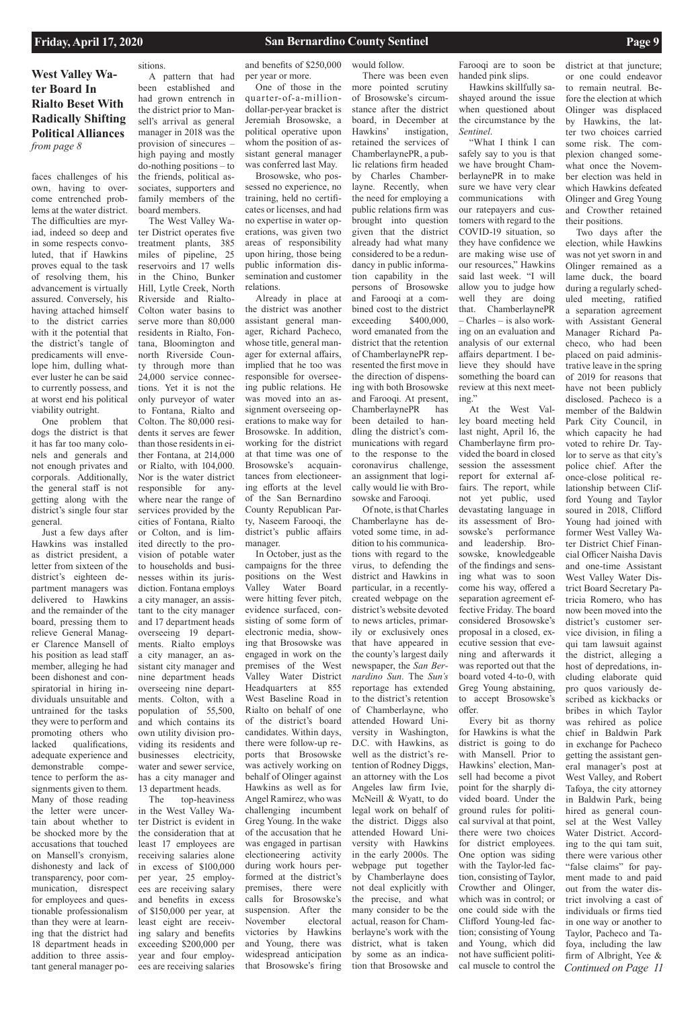# **West Valley Water Board In Rialto Beset With Radically Shifting Political Alliances**  *from page 8*

faces challenges of his own, having to overcome entrenched problems at the water district. The difficulties are myriad, indeed so deep and in some respects convoluted, that if Hawkins proves equal to the task of resolving them, his advancement is virtually assured. Conversely, his having attached himself to the district carries with it the potential that the district's tangle of predicaments will envelope him, dulling whatever luster he can be said to currently possess, and at worst end his political viability outright.

One problem that dogs the district is that it has far too many colonels and generals and not enough privates and corporals. Additionally, the general staff is not getting along with the district's single four star general.

Just a few days after Hawkins was installed as district president, a letter from sixteen of the district's eighteen department managers was delivered to Hawkins and the remainder of the board, pressing them to relieve General Manager Clarence Mansell of his position as lead staff member, alleging he had been dishonest and conspiratorial in hiring individuals unsuitable and untrained for the tasks they were to perform and promoting others who lacked qualifications, adequate experience and demonstrable competence to perform the assignments given to them. Many of those reading the letter were uncertain about whether to be shocked more by the accusations that touched on Mansell's cronyism, dishonesty and lack of transparency, poor communication, disrespect for employees and questionable professionalism than they were at learning that the district had 18 department heads in addition to three assistant general manager positions.

A pattern that had been established and had grown entrench in the district prior to Mansell's arrival as general manager in 2018 was the provision of sinecures – high paying and mostly do-nothing positions – to the friends, political associates, supporters and family members of the board members.

The West Valley Water District operates five treatment plants, 385 miles of pipeline, 25 reservoirs and 17 wells in the Chino, Bunker Hill, Lytle Creek, North Riverside and Rialto-Colton water basins to serve more than 80,000 residents in Rialto, Fontana, Bloomington and north Riverside County through more than 24,000 service connections. Yet it is not the only purveyor of water to Fontana, Rialto and Colton. The 80,000 residents it serves are fewer than those residents in either Fontana, at 214,000 or Rialto, with 104,000. Nor is the water district responsible for anywhere near the range of services provided by the cities of Fontana, Rialto or Colton, and is limited directly to the provision of potable water to households and businesses within its jurisdiction. Fontana employs a city manager, an assistant to the city manager and 17 department heads overseeing 19 departments. Rialto employs a city manager, an assistant city manager and nine department heads overseeing nine departments. Colton, with a population of 55,500, and which contains its own utility division providing its residents and businesses electricity, water and sewer service, has a city manager and 13 department heads. The top-heaviness in the West Valley Water District is evident in the consideration that at least 17 employees are receiving salaries alone in excess of \$100,000 per year, 25 employees are receiving salary and benefits in excess of \$150,000 per year, at least eight are receiving salary and benefits exceeding \$200,000 per year and four employees are receiving salaries

and benefits of \$250,000 per year or more.

One of those in the quarter-of-a-milliondollar-per-year bracket is Jeremiah Brosowske, a political operative upon whom the position of assistant general manager was conferred last May.

Brosowske, who possessed no experience, no training, held no certificates or licenses, and had no expertise in water operations, was given two areas of responsibility upon hiring, those being public information dissemination and customer relations.

Already in place at the district was another assistant general manager, Richard Pacheco, whose title, general manager for external affairs, implied that he too was responsible for overseeing public relations. He was moved into an assignment overseeing operations to make way for Brosowske. In addition, working for the district at that time was one of Brosowske's acquaintances from electioneering efforts at the level of the San Bernardino County Republican Party, Naseem Farooqi, the district's public affairs manager.

district at that juncture; or one could endeavor to remain neutral. Before the election at which Olinger was displaced by Hawkins, the latter two choices carried some risk. The complexion changed somewhat once the November election was held in which Hawkins defeated Olinger and Greg Young and Crowther retained their positions.

In October, just as the campaigns for the three positions on the West Valley Water Board were hitting fever pitch, evidence surfaced, consisting of some form of electronic media, showing that Brosowske was engaged in work on the premises of the West Valley Water District Headquarters at 855 West Baseline Road in Rialto on behalf of one of the district's board candidates. Within days, there were follow-up reports that Brosowske was actively working on behalf of Olinger against Hawkins as well as for Angel Ramirez, who was challenging incumbent Greg Young. In the wake of the accusation that he was engaged in partisan electioneering activity during work hours performed at the district's premises, there were calls for Brosowske's suspension. After the November electoral victories by Hawkins and Young, there was widespread anticipation that Brosowske's firing

would follow.

*Continued on Page 11* Two days after the election, while Hawkins was not yet sworn in and Olinger remained as a lame duck, the board during a regularly scheduled meeting, ratified a separation agreement with Assistant General Manager Richard Pacheco, who had been placed on paid administrative leave in the spring of 2019 for reasons that have not been publicly disclosed. Pacheco is a member of the Baldwin Park City Council, in which capacity he had voted to rehire Dr. Taylor to serve as that city's police chief. After the once-close political relationship between Clifford Young and Taylor soured in 2018, Clifford Young had joined with former West Valley Water District Chief Financial Officer Naisha Davis and one-time Assistant West Valley Water District Board Secretary Patricia Romero, who has now been moved into the district's customer service division, in filing a qui tam lawsuit against the district, alleging a host of depredations, including elaborate quid pro quos variously described as kickbacks or bribes in which Taylor was rehired as police chief in Baldwin Park in exchange for Pacheco getting the assistant general manager's post at West Valley, and Robert Tafoya, the city attorney in Baldwin Park, being hired as general counsel at the West Valley Water District. According to the qui tam suit, there were various other "false claims" for payment made to and paid out from the water district involving a cast of individuals or firms tied in one way or another to Taylor, Pacheco and Tafoya, including the law firm of Albright, Yee &

There was been even more pointed scrutiny of Brosowske's circumstance after the district board, in December at Hawkins' instigation, retained the services of ChamberlaynePR, a public relations firm headed by Charles Chamberlayne. Recently, when the need for employing a public relations firm was brought into question given that the district already had what many considered to be a redundancy in public information capability in the persons of Brosowske and Farooqi at a combined cost to the district exceeding \$400,000, word emanated from the district that the retention of ChamberlaynePR represented the first move in the direction of dispensing with both Brosowske and Farooqi. At present, ChamberlaynePR has been detailed to handling the district's communications with regard to the response to the coronavirus challenge, an assignment that logically would lie with Brosowske and Farooqi.

Of note, is that Charles Chamberlayne has devoted some time, in addition to his communications with regard to the virus, to defending the district and Hawkins in particular, in a recentlycreated webpage on the district's website devoted to news articles, primarily or exclusively ones that have appeared in the county's largest daily newspaper, the *San Bernardino Sun*. The *Sun's*  reportage has extended to the district's retention of Chamberlayne, who attended Howard University in Washington, D.C. with Hawkins, as well as the district's retention of Rodney Diggs, an attorney with the Los Angeles law firm Ivie, McNeill & Wyatt, to do legal work on behalf of the district. Diggs also attended Howard University with Hawkins in the early 2000s. The webpage put together by Chamberlayne does not deal explicitly with the precise, and what many consider to be the actual, reason for Chamberlayne's work with the district, what is taken by some as an indication that Brosowske and

Farooqi are to soon be handed pink slips.

Hawkins skillfully sashayed around the issue when questioned about the circumstance by the *Sentinel*.

"What I think I can safely say to you is that we have brought ChamberlaynePR in to make sure we have very clear communications with our ratepayers and customers with regard to the COVID-19 situation, so they have confidence we are making wise use of our resources," Hawkins said last week. "I will allow you to judge how well they are doing that. ChamberlaynePR – Charles – is also working on an evaluation and analysis of our external affairs department. I believe they should have something the board can review at this next meeting."

At the West Valley board meeting held last night, April 16, the Chamberlayne firm provided the board in closed session the assessment report for external affairs. The report, while not yet public, used devastating language in its assessment of Brosowske's performance and leadership. Brosowske, knowledgeable of the findings and sensing what was to soon come his way, offered a separation agreement effective Friday. The board considered Brosowske's proposal in a closed, executive session that evening and afterwards it was reported out that the board voted 4-to-0, with Greg Young abstaining, to accept Brosowske's offer.

Every bit as thorny for Hawkins is what the district is going to do with Mansell. Prior to Hawkins' election, Mansell had become a pivot point for the sharply divided board. Under the ground rules for political survival at that point, there were two choices for district employees. One option was siding with the Taylor-led faction, consisting of Taylor, Crowther and Olinger, which was in control; or one could side with the Clifford Young-led faction; consisting of Young and Young, which did not have sufficient political muscle to control the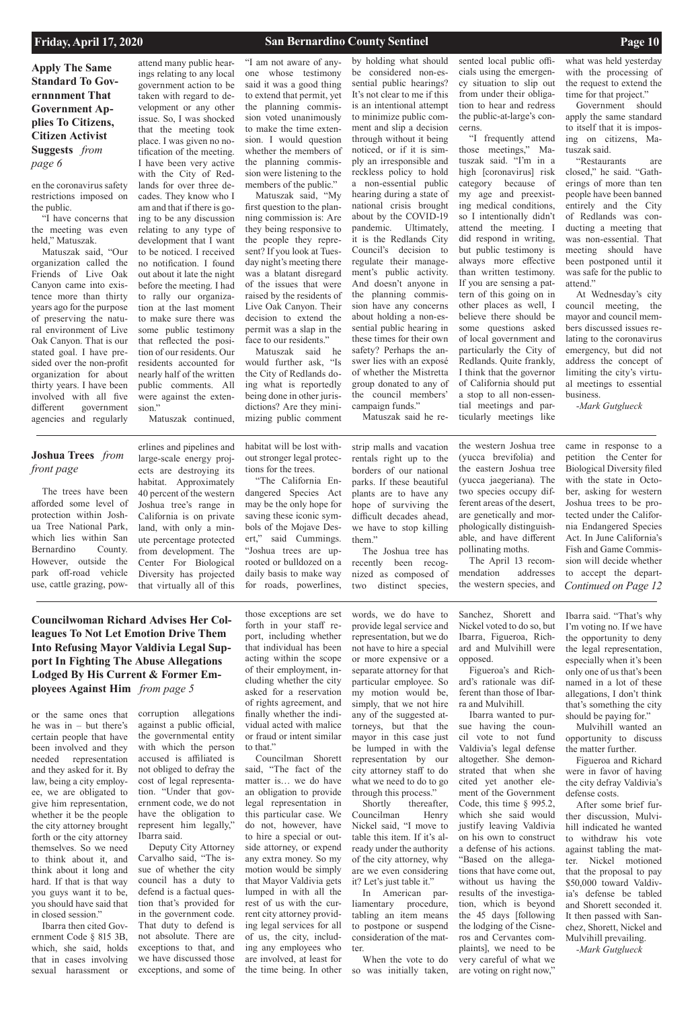**Apply The Same Standard To Governnnment That Government Applies To Citizens, Citizen Activist Suggests** *from page 6*

or the same ones that he was in – but there's certain people that have been involved and they needed representation and they asked for it. By law, being a city employee, we are obligated to give him representation, whether it be the people the city attorney brought forth or the city attorney themselves. So we need to think about it, and think about it long and hard. If that is that way you guys want it to be, you should have said that in closed session." Ibarra then cited Government Code § 815 3B, which, she said, holds that in cases involving sexual harassment or corruption allegations against a public official, the governmental entity with which the person accused is affiliated is not obliged to defray the cost of legal representa-

tion. "Under that government code, we do not have the obligation to represent him legally," Ibarra said.

Deputy City Attorney Carvalho said, "The issue of whether the city council has a duty to defend is a factual question that's provided for in the government code. That duty to defend is not absolute. There are exceptions to that, and we have discussed those exceptions, and some of those exceptions are set forth in your staff report, including whether that individual has been acting within the scope of their employment, including whether the city asked for a reservation of rights agreement, and finally whether the individual acted with malice or fraud or intent similar to that."

Councilman Shorett said, "The fact of the matter is… we do have

an obligation to provide legal representation in this particular case. We do not, however, have to hire a special or outside attorney, or expend any extra money. So my motion would be simply that Mayor Valdivia gets lumped in with all the rest of us with the current city attorney providing legal services for all of us, the city, including any employees who are involved, at least for the time being. In other

words, we do have to provide legal service and

representation, but we do not have to hire a special or more expensive or a separate attorney for that particular employee. So my motion would be, simply, that we not hire any of the suggested attorneys, but that the mayor in this case just be lumped in with the representation by our city attorney staff to do what we need to do to go through this process." Shortly thereafter, Councilman Henry Nickel said, "I move to table this item. If it's already under the authority of the city attorney, why are we even considering it? Let's just table it." In American parliamentary procedure, tabling an item means to postpone or suspend consideration of the matter. When the vote to do so was initially taken,

Sanchez, Shorett and

Nickel voted to do so, but Ibarra, Figueroa, Richard and Mulvihill were opposed.

Figueroa's and Richard's rationale was different than those of Ibarra and Mulvihill.

Ibarra wanted to pursue having the council vote to not fund Valdivia's legal defense altogether. She demonstrated that when she cited yet another ele-

Code, this time § 995.2, which she said would justify leaving Valdivia on his own to construct a defense of his actions. "Based on the allegations that have come out, without us having the results of the investigation, which is beyond the 45 days [following the lodging of the Cisneros and Cervantes complaints], we need to be very careful of what we are voting on right now,"

ment of the Government defense costs.

Ibarra said. "That's why I'm voting no. If we have the opportunity to deny the legal representation, especially when it's been only one of us that's been named in a lot of these allegations, I don't think that's something the city should be paying for."

Mulvihill wanted an opportunity to discuss the matter further.

Figueroa and Richard were in favor of having the city defray Valdivia's

After some brief further discussion, Mulvihill indicated he wanted to withdraw his vote against tabling the matter. Nickel motioned that the proposal to pay \$50,000 toward Valdivia's defense be tabled and Shorett seconded it. It then passed with Sanchez, Shorett, Nickel and Mulvihill prevailing. -*Mark Gutglueck*

en the coronavirus safety restrictions imposed on the public.

"I have concerns that the meeting was even held," Matuszak.

Matuszak said, "Our organization called the Friends of Live Oak Canyon came into existence more than thirty years ago for the purpose of preserving the natural environment of Live Oak Canyon. That is our stated goal. I have presided over the non-profit organization for about thirty years. I have been involved with all five different government agencies and regularly

attend many public hearings relating to any local government action to be taken with regard to development or any other issue. So, I was shocked that the meeting took place. I was given no notification of the meeting. I have been very active with the City of Redlands for over three decades. They know who I am and that if there is going to be any discussion relating to any type of development that I want to be noticed. I received no notification. I found out about it late the night before the meeting. I had to rally our organization at the last moment to make sure there was some public testimony that reflected the position of our residents. Our residents accounted for nearly half of the written public comments. All were against the exten-

sion."

Matuszak continued,

"I am not aware of anyone whose testimony said it was a good thing to extend that permit, yet the planning commission voted unanimously to make the time extension. I would question whether the members of the planning commission were listening to the members of the public."

Matuszak said, "My first question to the planning commission is: Are they being responsive to the people they represent? If you look at Tuesday night's meeting there was a blatant disregard of the issues that were raised by the residents of Live Oak Canyon. Their decision to extend the permit was a slap in the face to our residents."

Matuszak said he would further ask, "Is the City of Redlands doing what is reportedly being done in other jurisdictions? Are they minimizing public comment

by holding what should

be considered non-essential public hearings? It's not clear to me if this is an intentional attempt to minimize public comment and slip a decision through without it being noticed, or if it is simply an irresponsible and reckless policy to hold a non-essential public hearing during a state of national crisis brought about by the COVID-19 pandemic. Ultimately, it is the Redlands City Council's decision to regulate their management's public activity. And doesn't anyone in the planning commission have any concerns about holding a non-essential public hearing in these times for their own safety? Perhaps the answer lies with an exposé of whether the Mistretta group donated to any of the council members' campaign funds."

Matuszak said he re-

sented local public officials using the emergency situation to slip out from under their obligation to hear and redress the public-at-large's con-

cerns.

"I frequently attend those meetings," Matuszak said. "I'm in a high [coronavirus] risk category because of my age and preexisting medical conditions, so I intentionally didn't attend the meeting. I did respond in writing, but public testimony is always more effective than written testimony. If you are sensing a pattern of this going on in other places as well, I believe there should be some questions asked of local government and particularly the City of Redlands. Quite frankly, I think that the governor of California should put a stop to all non-essential meetings and particularly meetings like what was held yesterday with the processing of the request to extend the time for that project."

Government should apply the same standard to itself that it is imposing on citizens, Matuszak said.

"Restaurants are closed," he said. "Gatherings of more than ten people have been banned entirely and the City of Redlands was conducting a meeting that was non-essential. That meeting should have been postponed until it was safe for the public to attend."

At Wednesday's city council meeting, the mayor and council members discussed issues relating to the coronavirus emergency, but did not address the concept of limiting the city's virtual meetings to essential business.

-*Mark Gutglueck*

**Councilwoman Richard Advises Her Colleagues To Not Let Emotion Drive Them Into Refusing Mayor Valdivia Legal Support In Fighting The Abuse Allegations Lodged By His Current & Former Employees Against Him** *from page 5*

The trees have been afforded some level of protection within Joshua Tree National Park, which lies within San Bernardino County. However, outside the park off-road vehicle use, cattle grazing, pow-

erlines and pipelines and large-scale energy projects are destroying its habitat. Approximately 40 percent of the western Joshua tree's range in California is on private land, with only a minute percentage protected from development. The Center For Biological Diversity has projected that virtually all of this

habitat will be lost without stronger legal protections for the trees.

"The California Endangered Species Act may be the only hope for saving these iconic symbols of the Mojave Desert," said Cummings. "Joshua trees are uprooted or bulldozed on a daily basis to make way for roads, powerlines, strip malls and vacation

rentals right up to the borders of our national parks. If these beautiful plants are to have any hope of surviving the difficult decades ahead, we have to stop killing them."

The Joshua tree has recently been recognized as composed of two distinct species,

the western Joshua tree (yucca brevifolia) and the eastern Joshua tree (yucca jaegeriana). The two species occupy different areas of the desert, are genetically and morphologically distinguishable, and have different pollinating moths.

The April 13 recommendation addresses the western species, and

came in response to a petition the Center for Biological Diversity filed with the state in October, asking for western Joshua trees to be protected under the California Endangered Species Act. In June California's

Fish and Game Commission will decide whether to accept the depart-*Continued on Page 12*

**Joshua Trees** *from front page*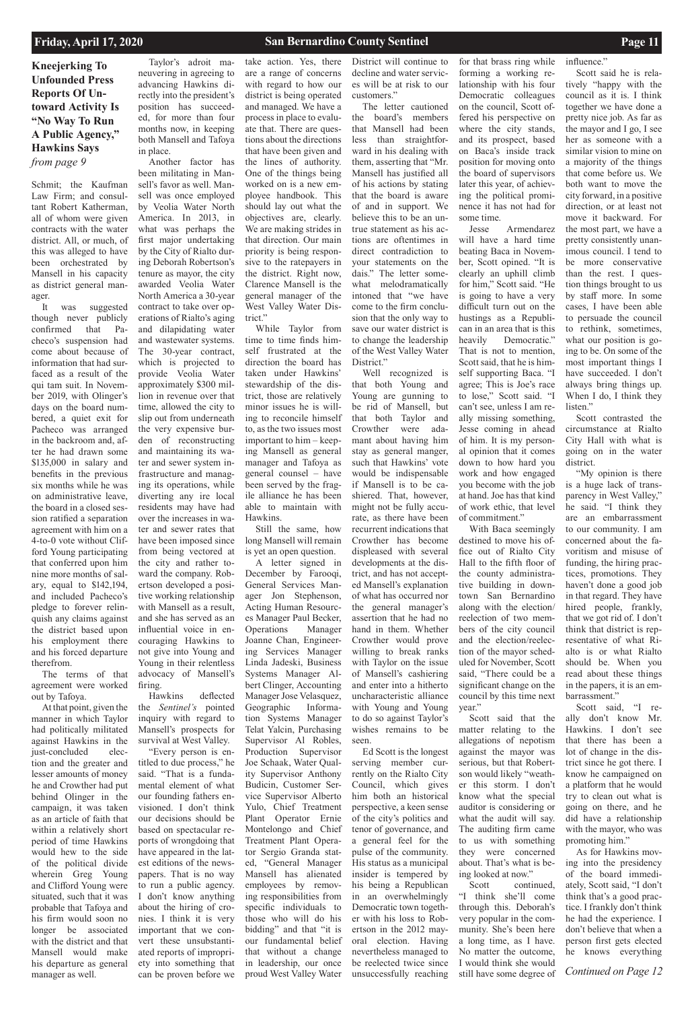*Continued on Page 12*

# **Friday, April 17, 2020 San Bernardino County Sentinel Page 11**

# **Kneejerking To Unfounded Press Reports Of Untoward Activity Is "No Way To Run A Public Agency," Hawkins Says**  *from page 9*

Schmit; the Kaufman Law Firm; and consultant Robert Katherman, all of whom were given contracts with the water district. All, or much, of this was alleged to have been orchestrated by Mansell in his capacity as district general manager.

It was suggested though never publicly confirmed that Pacheco's suspension had come about because of information that had surfaced as a result of the qui tam suit. In November 2019, with Olinger's days on the board numbered, a quiet exit for Pacheco was arranged in the backroom and, after he had drawn some \$135,000 in salary and benefits in the previous six months while he was on administrative leave, the board in a closed session ratified a separation agreement with him on a 4-to-0 vote without Clifford Young participating that conferred upon him nine more months of salary, equal to \$142,194, and included Pacheco's pledge to forever relinquish any claims against the district based upon his employment there and his forced departure therefrom.

The terms of that agreement were worked out by Tafoya.

At that point, given the manner in which Taylor had politically militated against Hawkins in the just-concluded election and the greater and lesser amounts of money he and Crowther had put

behind Olinger in the campaign, it was taken as an article of faith that within a relatively short period of time Hawkins would hew to the side of the political divide wherein Greg Young and Clifford Young were situated, such that it was probable that Tafoya and his firm would soon no longer be associated with the district and that Mansell would make his departure as general manager as well.

Taylor's adroit maneuvering in agreeing to advancing Hawkins directly into the president's position has succeeded, for more than four months now, in keeping both Mansell and Tafoya in place.

Another factor has been militating in Mansell's favor as well. Mansell was once employed by Veolia Water North America. In 2013, in what was perhaps the first major undertaking by the City of Rialto during Deborah Robertson's tenure as mayor, the city awarded Veolia Water North America a 30-year contract to take over operations of Rialto's aging and dilapidating water and wastewater systems. The 30-year contract, which is projected to provide Veolia Water approximately \$300 million in revenue over that time, allowed the city to slip out from underneath the very expensive burden of reconstructing and maintaining its water and sewer system infrastructure and managing its operations, while diverting any ire local residents may have had over the increases in water and sewer rates that have been imposed since from being vectored at the city and rather toward the company. Robertson developed a positive working relationship with Mansell as a result, and she has served as an influential voice in encouraging Hawkins to not give into Young and Young in their relentless advocacy of Mansell's firing.

The letter cautioned the board's members that Mansell had been less than straightforward in his dealing with them, asserting that "Mr. Mansell has justified all of his actions by stating that the board is aware of and in support. We believe this to be an untrue statement as his actions are oftentimes in direct contradiction to your statements on the dais." The letter somewhat melodramatically intoned that "we have come to the firm conclusion that the only way to save our water district is to change the leadership of the West Valley Water District."

Hawkins deflected the *Sentinel's* pointed inquiry with regard to Mansell's prospects for survival at West Valley.

"Every person is entitled to due process," he said. "That is a fundamental element of what our founding fathers envisioned. I don't think our decisions should be based on spectacular reports of wrongdoing that have appeared in the latest editions of the newspapers. That is no way to run a public agency. I don't know anything about the hiring of cronies. I think it is very important that we convert these unsubstantiated reports of impropriety into something that can be proven before we

take action. Yes, there are a range of concerns with regard to how our district is being operated and managed. We have a process in place to evaluate that. There are questions about the directions that have been given and the lines of authority. One of the things being worked on is a new employee handbook. This should lay out what the objectives are, clearly. We are making strides in that direction. Our main priority is being responsive to the ratepayers in the district. Right now, Clarence Mansell is the general manager of the West Valley Water District."

While Taylor from time to time finds himself frustrated at the direction the board has taken under Hawkins' stewardship of the district, those are relatively minor issues he is willing to reconcile himself to, as the two issues most important to him – keeping Mansell as general manager and Tafoya as general counsel – have been served by the fragile alliance he has been able to maintain with Hawkins.

Still the same, how long Mansell will remain is yet an open question.

A letter signed in December by Farooqi, General Services Manager Jon Stephenson, Acting Human Resources Manager Paul Becker, Operations Manager Joanne Chan, Engineering Services Manager Linda Jadeski, Business Systems Manager Albert Clinger, Accounting Manager Jose Velasquez, Geographic Information Systems Manager Telat Yalcin, Purchasing Supervisor Al Robles, Production Supervisor Joe Schaak, Water Quality Supervisor Anthony Budicin, Customer Service Supervisor Alberto Yulo, Chief Treatment Plant Operator Ernie Montelongo and Chief Treatment Plant Operator Sergio Granda stated, "General Manager Mansell has alienated employees by removing responsibilities from specific individuals to those who will do his bidding" and that "it is our fundamental belief that without a change in leadership, our once proud West Valley Water

"My opinion is there is a huge lack of transparency in West Valley," he said. "I think they are an embarrassment to our community. I am concerned about the favoritism and misuse of funding, the hiring practices, promotions. They haven't done a good job in that regard. They have hired people, frankly, that we got rid of. I don't think that district is representative of what Rialto is or what Rialto should be. When you read about these things in the papers, it is an embarrassment."

District will continue to decline and water services will be at risk to our customers."

Well recognized is that both Young and Young are gunning to be rid of Mansell, but that both Taylor and Crowther were adamant about having him stay as general manger, such that Hawkins' vote would be indispensable if Mansell is to be cashiered. That, however, might not be fully accurate, as there have been recurrent indications that Crowther has become displeased with several developments at the district, and has not accepted Mansell's explanation of what has occurred nor the general manager's assertion that he had no hand in them. Whether Crowther would prove willing to break ranks with Taylor on the issue of Mansell's cashiering and enter into a hitherto uncharacteristic alliance with Young and Young to do so against Taylor's wishes remains to be seen.

Ed Scott is the longest serving member currently on the Rialto City Council, which gives

him both an historical perspective, a keen sense of the city's politics and tenor of governance, and a general feel for the pulse of the community. His status as a municipal insider is tempered by his being a Republican in an overwhelmingly Democratic town together with his loss to Robertson in the 2012 mayoral election. Having nevertheless managed to be reelected twice since unsuccessfully reaching

for that brass ring while forming a working relationship with his four Democratic colleagues on the council, Scott offered his perspective on where the city stands, and its prospect, based on Baca's inside track position for moving onto the board of supervisors later this year, of achieving the political prominence it has not had for some time.

Jesse Armendarez will have a hard time beating Baca in November, Scott opined. "It is clearly an uphill climb for him," Scott said. "He is going to have a very difficult turn out on the hustings as a Republican in an area that is this heavily Democratic." That is not to mention, Scott said, that he is himself supporting Baca. "I agree; This is Joe's race to lose," Scott said. "I can't see, unless I am really missing something, Jesse coming in ahead of him. It is my personal opinion that it comes down to how hard you work and how engaged you become with the job at hand. Joe has that kind of work ethic, that level of commitment."

With Baca seemingly destined to move his office out of Rialto City Hall to the fifth floor of the county administrative building in downtown San Bernardino along with the election/ reelection of two members of the city council and the election/reelection of the mayor scheduled for November, Scott said, "There could be a significant change on the council by this time next year."

Scott said that the matter relating to the allegations of nepotism against the mayor was serious, but that Robertson would likely "weather this storm. I don't

know what the special auditor is considering or what the audit will say. The auditing firm came to us with something they were concerned about. That's what is being looked at now." Scott continued, "I think she'll come through this. Deborah's very popular in the community. She's been here a long time, as I have. No matter the outcome, I would think she would still have some degree of influence."

Scott said he is relatively "happy with the council as it is. I think together we have done a pretty nice job. As far as the mayor and I go, I see her as someone with a similar vision to mine on a majority of the things that come before us. We both want to move the city forward, in a positive direction, or at least not move it backward. For the most part, we have a pretty consistently unanimous council. I tend to be more conservative than the rest. I question things brought to us by staff more. In some cases, I have been able to persuade the council to rethink, sometimes, what our position is going to be. On some of the most important things I have succeeded. I don't always bring things up. When I do, I think they listen."

Scott contrasted the circumstance at Rialto City Hall with what is going on in the water district.

Scott said, "I really don't know Mr. Hawkins. I don't see that there has been a lot of change in the district since he got there. I know he campaigned on a platform that he would try to clean out what is going on there, and he did have a relationship with the mayor, who was promoting him." As for Hawkins moving into the presidency of the board immediately, Scott said, "I don't think that's a good practice. I frankly don't think he had the experience. I don't believe that when a person first gets elected he knows everything